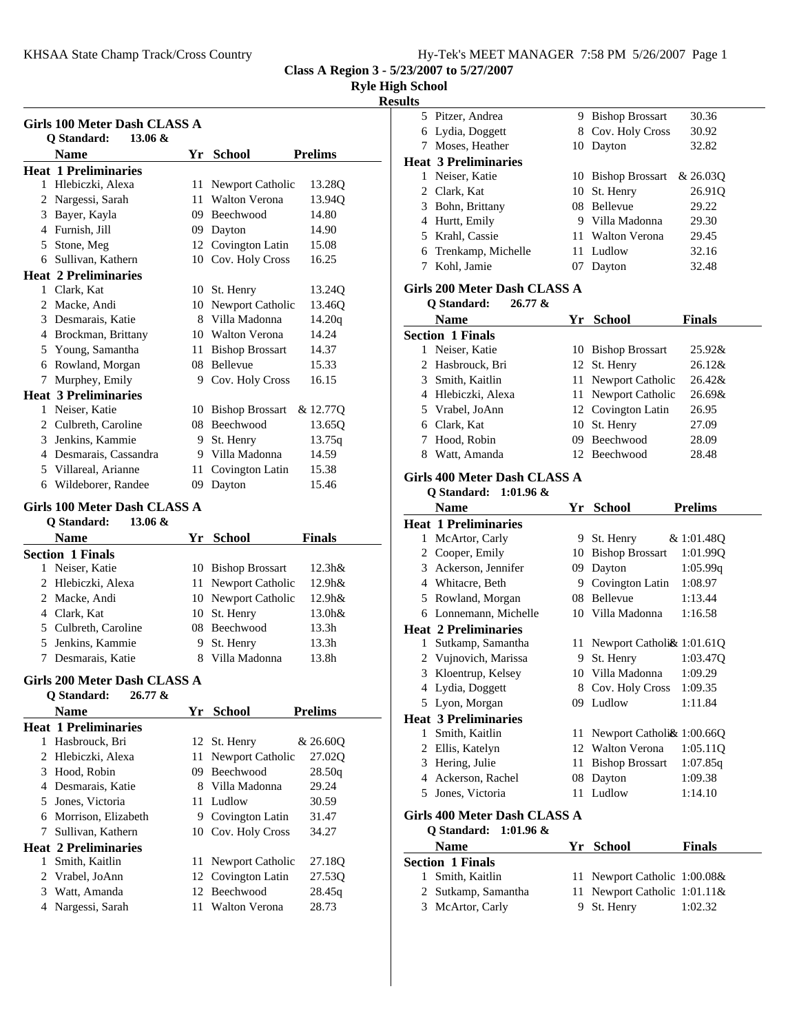KHSAA State Champ Track/Cross Country

**Class A Region 3 - 5/23/2007 to 5/27/2007**

**Ryle High School**

### **Results**

| Girls 100 Meter Dash CLASS A                              |     |                                     |                 |  |  |  |  |
|-----------------------------------------------------------|-----|-------------------------------------|-----------------|--|--|--|--|
| Q Standard:<br>$13.06 \&$                                 |     |                                     |                 |  |  |  |  |
| <b>Name</b>                                               |     | Yr School                           | <b>Prelims</b>  |  |  |  |  |
| <b>Heat 1 Preliminaries</b>                               |     |                                     |                 |  |  |  |  |
| 1 Hlebiczki, Alexa                                        | 11  | Newport Catholic                    | 13.28Q          |  |  |  |  |
| 2 Nargessi, Sarah                                         | 11  | <b>Walton Verona</b>                | 13.94Q          |  |  |  |  |
| 3 Bayer, Kayla                                            |     | 09 Beechwood                        | 14.80           |  |  |  |  |
| 4 Furnish, Jill                                           |     | 09 Dayton                           | 14.90           |  |  |  |  |
| 5 Stone, Meg<br>6 Sullivan, Kathern                       |     | 12 Covington Latin                  | 15.08           |  |  |  |  |
|                                                           |     | 10 Cov. Holy Cross                  | 16.25           |  |  |  |  |
| <b>Heat 2 Preliminaries</b><br>1 Clark, Kat               |     |                                     | 13.24Q          |  |  |  |  |
| 2 Macke, Andi                                             |     | 10 St. Henry<br>10 Newport Catholic |                 |  |  |  |  |
| 3 Desmarais, Katie                                        |     | 8 Villa Madonna                     | 13.46Q          |  |  |  |  |
|                                                           |     | 10 Walton Verona                    | 14.20q<br>14.24 |  |  |  |  |
| 4 Brockman, Brittany<br>5 Young, Samantha                 |     |                                     | 14.37           |  |  |  |  |
| 6 Rowland, Morgan                                         |     | 11 Bishop Brossart<br>08 Bellevue   | 15.33           |  |  |  |  |
| 7 Murphey, Emily                                          |     | 9 Cov. Holy Cross                   | 16.15           |  |  |  |  |
| <b>Heat 3 Preliminaries</b>                               |     |                                     |                 |  |  |  |  |
| 1 Neiser, Katie                                           |     | 10 Bishop Brossart                  | & 12.77Q        |  |  |  |  |
| 2 Culbreth, Caroline                                      |     | 08 Beechwood                        | 13.65Q          |  |  |  |  |
| 3 Jenkins, Kammie                                         |     | 9 St. Henry                         | 13.75q          |  |  |  |  |
| 4 Desmarais, Cassandra                                    |     | 9 Villa Madonna                     | 14.59           |  |  |  |  |
| 5 Villareal, Arianne                                      | 11  | Covington Latin                     | 15.38           |  |  |  |  |
| 6 Wildeborer, Randee                                      | 09. | Dayton                              | 15.46           |  |  |  |  |
|                                                           |     |                                     |                 |  |  |  |  |
| Girls 100 Meter Dash CLASS A<br>Q Standard:<br>$13.06 \&$ |     |                                     |                 |  |  |  |  |
|                                                           |     |                                     |                 |  |  |  |  |
|                                                           |     |                                     |                 |  |  |  |  |
| <b>Name</b><br><b>Section 1 Finals</b>                    |     | Yr School                           | Finals          |  |  |  |  |
| 1 Neiser, Katie                                           |     | 10 Bishop Brossart                  | 12.3h&          |  |  |  |  |
| 2 Hlebiczki, Alexa                                        | 11  | Newport Catholic                    | 12.9h&          |  |  |  |  |
| 2 Macke, Andi                                             |     | 10 Newport Catholic                 | 12.9h&          |  |  |  |  |
| 4 Clark, Kat                                              |     | 10 St. Henry                        | 13.0h&          |  |  |  |  |
| 5 Culbreth, Caroline                                      |     | 08 Beechwood                        | 13.3h           |  |  |  |  |
| 5 Jenkins, Kammie                                         |     | 9 St. Henry                         | 13.3h           |  |  |  |  |
| Desmarais, Katie<br>7                                     | 8   | Villa Madonna                       | 13.8h           |  |  |  |  |
| Girls 200 Meter Dash CLASS A                              |     |                                     |                 |  |  |  |  |
|                                                           |     |                                     |                 |  |  |  |  |
| Q Standard: 26.77 &<br><b>Name</b>                        |     | Yr School                           | <b>Prelims</b>  |  |  |  |  |
| <b>Heat 1 Preliminaries</b>                               |     |                                     |                 |  |  |  |  |
| Hasbrouck, Bri<br>1                                       | 12  | St. Henry                           | & 26.60Q        |  |  |  |  |
| 2 Hlebiczki, Alexa                                        | 11  | Newport Catholic                    | 27.02Q          |  |  |  |  |
| 3 Hood, Robin                                             | 09. | Beechwood                           | 28.50q          |  |  |  |  |
| 4 Desmarais, Katie                                        |     | 8 Villa Madonna                     | 29.24           |  |  |  |  |
| 5 Jones, Victoria                                         | 11  | Ludlow                              | 30.59           |  |  |  |  |
|                                                           | 9.  |                                     | 31.47           |  |  |  |  |
| 6 Morrison, Elizabeth<br>7<br>Sullivan, Kathern           | 10  | Covington Latin                     | 34.27           |  |  |  |  |
|                                                           |     | Cov. Holy Cross                     |                 |  |  |  |  |
| <b>Heat 2 Preliminaries</b><br>1                          | 11  |                                     |                 |  |  |  |  |
| Smith, Kaitlin<br>2                                       | 12  | Newport Catholic                    | 27.18Q          |  |  |  |  |
| Vrabel, JoAnn                                             | 12  | Covington Latin<br>Beechwood        | 27.53Q          |  |  |  |  |
| 3 Watt, Amanda<br>Nargessi, Sarah<br>4                    | 11  | Walton Verona                       | 28.45q<br>28.73 |  |  |  |  |

|    | 5 Pitzer, Andrea                        |          | 9 Bishop Brossart                      | 30.36         |
|----|-----------------------------------------|----------|----------------------------------------|---------------|
|    | 6 Lydia, Doggett                        | 8        | Cov. Holy Cross                        | 30.92         |
|    | 7 Moses, Heather                        | 10       | Dayton                                 | 32.82         |
|    | <b>Heat 3 Preliminaries</b>             |          |                                        |               |
|    | 1 Neiser, Katie                         |          | 10 Bishop Brossart                     | & 26.03Q      |
|    | 2 Clark, Kat                            |          | 10 St. Henry                           | 26.91Q        |
|    | 3 Bohn, Brittany                        |          | 08 Bellevue                            | 29.22         |
|    | 4 Hurtt, Emily                          |          | 9 Villa Madonna                        | 29.30         |
|    | 5 Krahl, Cassie                         |          | 11 Walton Verona                       | 29.45         |
|    | 6 Trenkamp, Michelle                    |          | 11 Ludlow                              | 32.16         |
|    | 7 Kohl, Jamie                           |          | 07 Dayton                              | 32.48         |
|    | Girls 200 Meter Dash CLASS A            |          |                                        |               |
|    | Q Standard:<br>$26.77 \&$               |          |                                        |               |
|    | <b>Name</b>                             |          | Yr School                              | <b>Finals</b> |
|    | <b>Section 1 Finals</b>                 |          |                                        |               |
|    | 1 Neiser, Katie                         |          | 10 Bishop Brossart                     | 25.92&        |
|    | 2 Hasbrouck, Bri                        | 12       | St. Henry                              | 26.12&        |
|    | 3 Smith, Kaitlin                        | 11       | Newport Catholic                       | 26.42&        |
|    | 4 Hlebiczki, Alexa                      | 11       | Newport Catholic                       | 26.69&        |
|    | 5 Vrabel, JoAnn                         |          | 12 Covington Latin                     | 26.95         |
|    | 6 Clark, Kat                            |          | 10 St. Henry                           | 27.09         |
|    | 7 Hood, Robin                           |          | 09 Beechwood                           | 28.09         |
|    | 8 Watt, Amanda                          |          | 12 Beechwood                           | 28.48         |
|    | Girls 400 Meter Dash CLASS A            |          |                                        |               |
|    | Q Standard:<br>$1:01.96 \&$             |          |                                        |               |
|    | <b>Name</b>                             |          | Yr School                              | Prelims       |
|    | <b>Heat 1 Preliminaries</b>             |          |                                        |               |
|    | 1 McArtor, Carly                        | 9.       | St. Henry                              | & 1:01.48Q    |
|    |                                         |          | 10 Bishop Brossart                     | 1:01.99Q      |
|    | 2 Cooper, Emily                         |          |                                        |               |
|    | 3 Ackerson, Jennifer                    | 09       | Dayton                                 | 1:05.99q      |
|    | 4 Whitacre, Beth                        |          | 9 Covington Latin                      | 1:08.97       |
|    | 5 Rowland, Morgan                       |          | 08 Bellevue                            | 1:13.44       |
|    | 6 Lonnemann, Michelle                   |          | 10 Villa Madonna                       | 1:16.58       |
|    | <b>Heat 2 Preliminaries</b>             |          |                                        |               |
|    | 1 Sutkamp, Samantha                     |          | 11 Newport Catholi& 1:01.61Q           |               |
|    | 2 Vujnovich, Marissa                    | 9.       | St. Henry                              | 1:03.47Q      |
| 3  | Kloentrup, Kelsey                       |          | 10 Villa Madonna                       | 1:09.29       |
|    | 4 Lydia, Doggett                        |          | 8 Cov. Holy Cross                      | 1:09.35       |
|    | 5 Lyon, Morgan                          |          | 09 Ludlow                              | 1:11.84       |
|    | <b>Heat 3 Preliminaries</b>             |          |                                        |               |
| 1. | Smith, Kaitlin                          | 11       | Newport Catholi& 1:00.66Q              |               |
|    | 2 Ellis, Katelyn                        |          | 12 Walton Verona                       | 1:05.11Q      |
|    | 3 Hering, Julie                         | 11       | <b>Bishop Brossart</b>                 | 1:07.85q      |
|    | 4 Ackerson, Rachel                      |          | 08 Dayton                              | 1:09.38       |
|    | 5 Jones, Victoria                       | 11       | Ludlow                                 | 1:14.10       |
|    | Girls 400 Meter Dash CLASS A            |          |                                        |               |
|    | Q Standard: 1:01.96 &                   |          |                                        |               |
|    | <b>Name</b>                             |          | Yr School                              | Finals        |
|    | <b>Section 1 Finals</b>                 |          |                                        |               |
| 1  | Smith, Kaitlin                          | 11       | Newport Catholic 1:00.08&              |               |
|    | 2 Sutkamp, Samantha<br>3 McArtor, Carly | 11<br>9. | Newport Catholic 1:01.11&<br>St. Henry | 1:02.32       |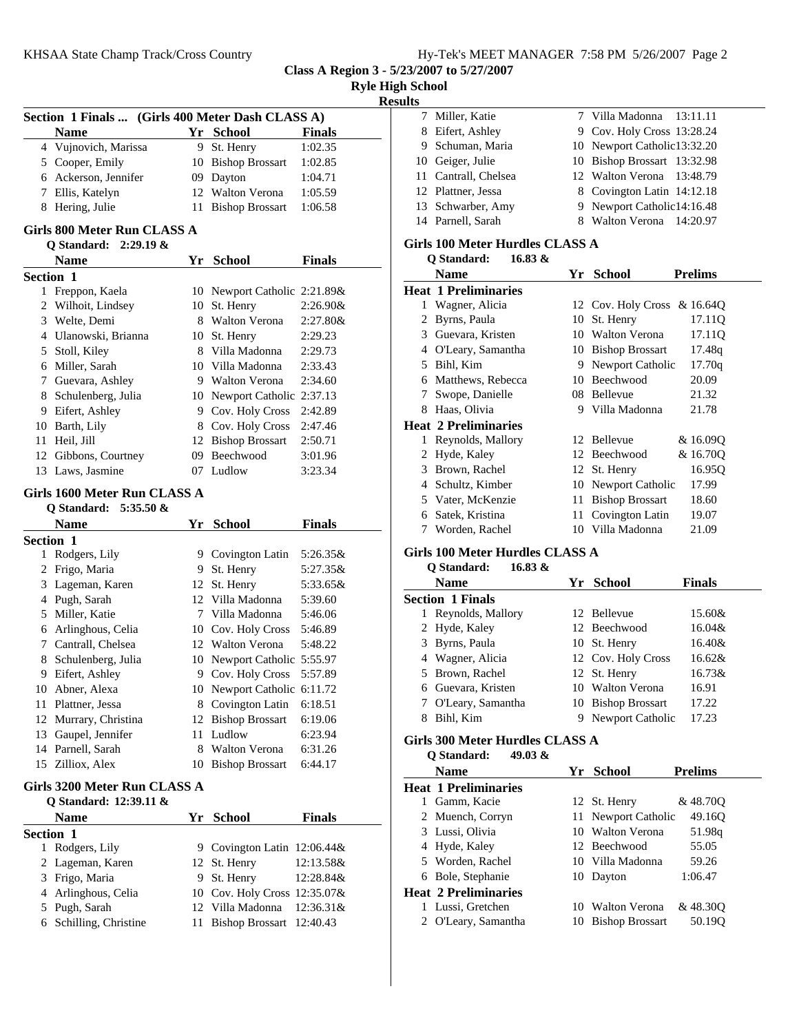**Class A Region 3 - 5/23/2007 to 5/27/2007**

|   | KHSAA State Champ Track/Cross Country            |    |                                                  |                                 | ну-те                                     |
|---|--------------------------------------------------|----|--------------------------------------------------|---------------------------------|-------------------------------------------|
|   |                                                  |    |                                                  | Class A Region 3 - 5/23/2007 to |                                           |
|   |                                                  |    |                                                  |                                 | <b>Ryle High School</b><br><b>Results</b> |
|   | Section 1 Finals  (Girls 400 Meter Dash CLASS A) |    |                                                  |                                 | 7 Mil                                     |
|   | <b>Name</b>                                      |    | Yr School                                        | <b>Finals</b>                   | 8 Eife                                    |
|   | 4 Vujnovich, Marissa                             |    | 9 St. Henry                                      | 1:02.35                         | 9 Sch                                     |
|   | 5 Cooper, Emily                                  |    | 10 Bishop Brossart                               | 1:02.85                         | Gei<br>10                                 |
|   | 6 Ackerson, Jennifer                             |    | 09 Dayton                                        | 1:04.71                         | 11<br>Can                                 |
|   | 7 Ellis, Katelyn                                 |    | 12 Walton Verona                                 | 1:05.59                         | 12<br>Plat                                |
|   | 8 Hering, Julie                                  |    | 11 Bishop Brossart                               | 1:06.58                         | 13<br>Sch                                 |
|   |                                                  |    |                                                  |                                 | 14 Pari                                   |
|   | Girls 800 Meter Run CLASS A                      |    |                                                  |                                 | Girls 100                                 |
|   | Q Standard:<br>$2:29.19 \&$                      |    |                                                  |                                 | Q Sta                                     |
|   | <b>Name</b>                                      |    | Yr School                                        | <b>Finals</b>                   | Nai                                       |
|   | <b>Section 1</b>                                 |    |                                                  |                                 |                                           |
|   | 1 Freppon, Kaela                                 |    | 10 Newport Catholic 2:21.89&                     |                                 | Heat 1 P<br>1                             |
|   | 2 Wilhoit, Lindsey                               |    | 10 St. Henry                                     | 2:26.90&                        | Wa                                        |
|   | 3 Welte, Demi                                    |    | 8 Walton Verona                                  | 2:27.80&                        | 2 Byr<br>3 Gue                            |
|   | 4 Ulanowski, Brianna                             |    | 10 St. Henry                                     | 2:29.23                         | 4 O'L                                     |
|   | 5 Stoll, Kiley                                   |    | 8 Villa Madonna                                  | 2:29.73                         | 5 Bih                                     |
|   | 6 Miller, Sarah                                  |    | 10 Villa Madonna                                 | 2:33.43                         | 6<br>Mat                                  |
|   | 7 Guevara, Ashley                                |    | 9 Walton Verona                                  | 2:34.60                         | 7                                         |
|   | 8 Schulenberg, Julia                             |    | 10 Newport Catholic 2:37.13                      |                                 | Swo                                       |
|   | 9 Eifert, Ashley                                 |    | 9 Cov. Holy Cross                                | 2:42.89                         | 8 Haa                                     |
|   | 10 Barth, Lily                                   |    | 8 Cov. Holy Cross                                | 2:47.46                         | Heat 2 P                                  |
|   | 11 Heil, Jill                                    |    | 12 Bishop Brossart                               | 2:50.71                         | 1<br>Rey                                  |
|   | 12 Gibbons, Courtney                             |    | 09 Beechwood                                     | 3:01.96                         | <b>Hyc</b><br>2<br>3                      |
|   | 13 Laws, Jasmine                                 |    | 07 Ludlow                                        | 3:23.34                         | <b>Bro</b><br>Sch<br>4                    |
|   | Girls 1600 Meter Run CLASS A                     |    |                                                  |                                 | 5                                         |
|   | Q Standard: 5:35.50 &                            |    |                                                  |                                 | Vat<br>Sate<br>6                          |
|   | <b>Name</b>                                      |    | Yr School                                        | <b>Finals</b>                   | Wo<br>7                                   |
|   | <b>Section 1</b>                                 |    |                                                  |                                 |                                           |
|   | 1 Rodgers, Lily                                  |    | 9 Covington Latin                                | 5:26.35&                        | Girls 100                                 |
|   | 2 Frigo, Maria                                   |    | 9 St. Henry                                      | 5:27.35&                        | Q Sta                                     |
|   | 3 Lageman, Karen                                 |    | 12 St. Henry                                     | 5:33.65&                        | Na                                        |
|   | 4 Pugh, Sarah                                    |    | 12 Villa Madonna                                 | 5:39.60                         | Section                                   |
|   | 5 Miller, Katie                                  |    | 7 Villa Madonna                                  | 5:46.06                         | Rey<br>1                                  |
|   | 6 Arlinghous, Celia                              |    | 10 Cov. Holy Cross                               | 5:46.89                         | 2<br><b>Hyc</b>                           |
| 7 | Cantrall, Chelsea                                | 12 | <b>Walton Verona</b>                             | 5:48.22                         | 3<br>Byr                                  |
| 8 | Schulenberg, Julia                               |    | 10 Newport Catholic 5:55.97                      |                                 | 4<br>Wa                                   |
|   | 9 Eifert, Ashley                                 |    | 9 Cov. Holy Cross                                | 5:57.89                         | 5<br><b>Bro</b>                           |
|   | 10 Abner, Alexa                                  |    | 10 Newport Catholic 6:11.72                      |                                 | 6<br>Gue                                  |
|   | 11 Plattner, Jessa                               |    | 8 Covington Latin                                | 6:18.51                         | 7<br>O <sub>L</sub>                       |
|   | 12 Murrary, Christina                            |    | 12 Bishop Brossart                               | 6:19.06                         | 8<br>Bih                                  |
|   |                                                  |    |                                                  |                                 |                                           |
|   | 13 Gaupel, Jennifer                              |    | 11 Ludlow                                        | 6:23.94                         |                                           |
|   | 14 Parnell, Sarah                                |    | 8 Walton Verona                                  | 6:31.26                         | Girls 300                                 |
|   | 15 Zilliox, Alex                                 | 10 | <b>Bishop Brossart</b>                           | 6:44.17                         | Q Sta                                     |
|   |                                                  |    |                                                  |                                 | Nai                                       |
|   | Girls 3200 Meter Run CLASS A                     |    |                                                  |                                 | Heat 1 P<br>Gar<br>$\mathbf{1}$           |
|   | Q Standard: 12:39.11 &<br><b>Name</b>            |    |                                                  |                                 | Mu<br>2                                   |
|   |                                                  |    | Yr School                                        | <b>Finals</b>                   | 3<br>Lus                                  |
|   | <b>Section 1</b>                                 |    |                                                  |                                 | 4                                         |
|   | 1 Rodgers, Lily                                  |    | 9 Covington Latin 12:06.44&                      |                                 | Hyc<br><b>Wo</b><br>5                     |
|   | 2 Lageman, Karen                                 |    | 12 St. Henry                                     | 12:13.58&                       | Bol<br>6                                  |
|   | 3 Frigo, Maria                                   |    | 9 St. Henry                                      | 12:28.84&                       |                                           |
|   | 4 Arlinghous, Celia                              |    | 10 Cov. Holy Cross 12:35.07&<br>12 Villa Madonna |                                 | Heat 2 P<br>1<br>Lus                      |
| 6 | 5 Pugh, Sarah<br>Schilling, Christine            | 11 | Bishop Brossart 12:40.43                         | 12:36.31&                       | 2<br>O <sub>L</sub>                       |

| 7 Miller, Katie      | 7 Villa Madonna 13:11.11     |  |
|----------------------|------------------------------|--|
| 8 Eifert, Ashley     | 9 Cov. Holy Cross 13:28.24   |  |
| 9 Schuman, Maria     | 10 Newport Catholic 13:32.20 |  |
| 10 Geiger, Julie     | 10 Bishop Brossart 13:32.98  |  |
| 11 Cantrall, Chelsea | 12 Walton Verona 13:48.79    |  |
| 12 Plattner, Jessa   | 8 Covington Latin 14:12.18   |  |
| 13 Schwarber, Amy    | 9 Newport Catholic 14:16.48  |  |
| 14 Parnell, Sarah    | 8 Walton Verona 14:20.97     |  |

### **Girls 100 Meter Hurdles CLASS A Q Standard: 16.83 &**

|   | V vianuai u.<br>$10.00 \alpha$ |     |                             |                |
|---|--------------------------------|-----|-----------------------------|----------------|
|   | Name                           | Yr  | <b>School</b>               | <b>Prelims</b> |
|   | <b>Heat 1 Preliminaries</b>    |     |                             |                |
| 1 | Wagner, Alicia                 |     | 12 Cov. Holy Cross & 16.64Q |                |
| 2 | Byrns, Paula                   | 10  | St. Henry                   | 17.11Q         |
| 3 | Guevara, Kristen               |     | 10 Walton Verona            | 17.11Q         |
| 4 | O'Leary, Samantha              | 10  | <b>Bishop Brossart</b>      | 17.48q         |
| 5 | Bihl, Kim                      | 9   | Newport Catholic            | 17.70q         |
| 6 | Matthews, Rebecca              | 10  | <b>Beechwood</b>            | 20.09          |
| 7 | Swope, Danielle                | 08  | Bellevue                    | 21.32          |
| 8 | Haas, Olivia                   | 9   | Villa Madonna               | 21.78          |
|   | <b>Heat 2 Preliminaries</b>    |     |                             |                |
| 1 | Reynolds, Mallory              |     | 12 Bellevue                 | & 16.090       |
| 2 | Hyde, Kaley                    | 12  | Beechwood                   | & 16.700       |
| 3 | Brown, Rachel                  | 12  | St. Henry                   | 16.95Q         |
| 4 | Schultz, Kimber                | 10  | Newport Catholic            | 17.99          |
| 5 | Vater, McKenzie                | 11  | <b>Bishop Brossart</b>      | 18.60          |
| 6 | Satek, Kristina                | 11- | Covington Latin             | 19.07          |
| 7 | Worden, Rachel                 |     | 10 Villa Madonna            | 21.09          |

### **Girls 100 Meter Hurdles CLASS A**

**Q Standard: 16.83 &**

|   | <b>Name</b>             |   | Yr School          | Finals |
|---|-------------------------|---|--------------------|--------|
|   | <b>Section 1 Finals</b> |   |                    |        |
| L | Reynolds, Mallory       |   | 12 Bellevue        | 15.60& |
|   | 2 Hyde, Kaley           |   | 12 Beechwood       | 16.04& |
|   | 3 Byrns, Paula          |   | 10 St. Henry       | 16.40& |
|   | 4 Wagner, Alicia        |   | 12 Cov. Holy Cross | 16.62& |
|   | 5 Brown, Rachel         |   | 12 St. Henry       | 16.73& |
|   | 6 Guevara, Kristen      |   | 10 Walton Verona   | 16.91  |
|   | 7 O'Leary, Samantha     |   | 10 Bishop Brossart | 17.22  |
|   | Bihl, Kim               | 9 | Newport Catholic   | 17.23  |

### **Girls 300 Meter Hurdles CLASS A**

**Q Standard: 49.03 &**

| Name                        |    | Yr School           | <b>Prelims</b> |
|-----------------------------|----|---------------------|----------------|
| <b>Heat 1 Preliminaries</b> |    |                     |                |
| Gamm, Kacie                 |    | 12 St. Henry        | &48.700        |
| 2 Muench, Corryn            |    | 11 Newport Catholic | 49.16O         |
| 3 Lussi, Olivia             |    | 10 Walton Verona    | 51.98q         |
| 4 Hyde, Kaley               |    | 12 Beechwood        | 55.05          |
| 5 Worden, Rachel            |    | 10 Villa Madonna    | 59.26          |
| 6 Bole, Stephanie           |    | 10 Dayton           | 1:06.47        |
| <b>Heat 2 Preliminaries</b> |    |                     |                |
| Lussi, Gretchen             | 10 | Walton Verona       | & 48.30Q       |
| 2 O'Leary, Samantha         |    | 10 Bishop Brossart  | 50.190         |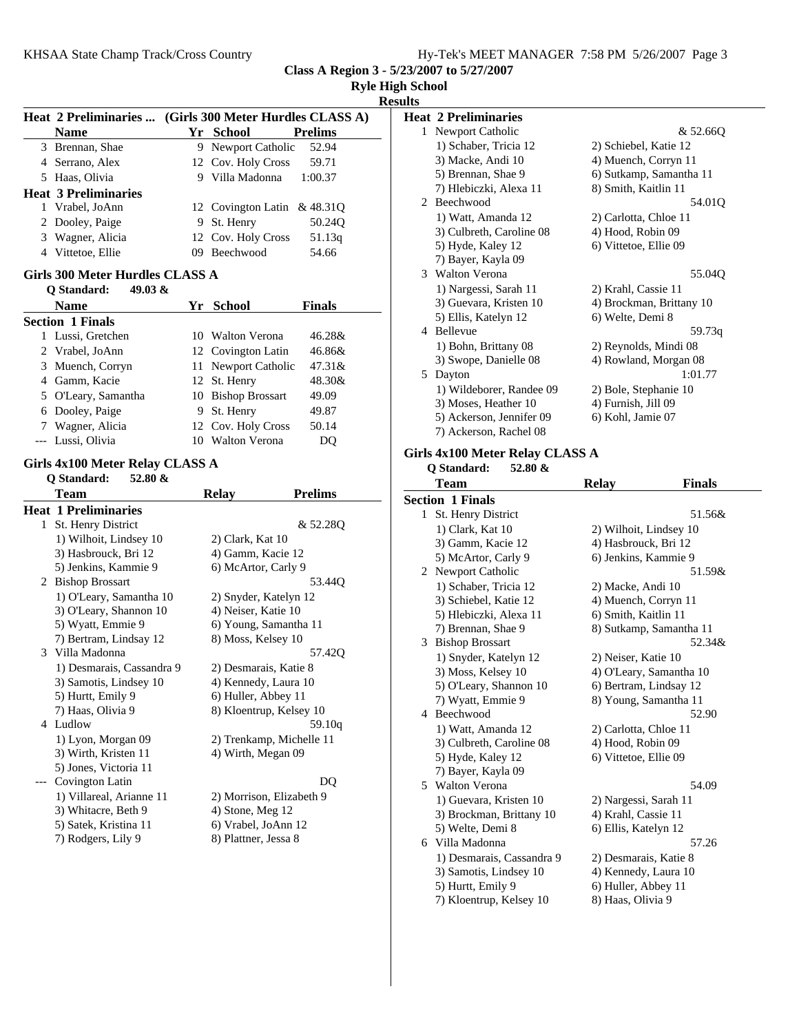|  |  |  |  | Hy-Tek's MEET MANAGER 7:58 PM 5/26/2007 Page 3 |  |  |  |
|--|--|--|--|------------------------------------------------|--|--|--|
|--|--|--|--|------------------------------------------------|--|--|--|

**Class A Region 3 - 5/23/2007 to 5/27/2007**

|   | Heat 2 Preliminaries  (Girls 300 Meter Hurdles CLASS A) |                                         |  |
|---|---------------------------------------------------------|-----------------------------------------|--|
|   | <b>Name</b>                                             | Yr School<br><b>Prelims</b>             |  |
|   | 3 Brennan, Shae                                         | 9 Newport Catholic<br>52.94             |  |
|   | 4 Serrano, Alex                                         | 12 Cov. Holy Cross<br>59.71             |  |
|   | 5 Haas, Olivia                                          | 9 Villa Madonna<br>1:00.37              |  |
|   | <b>Heat 3 Preliminaries</b>                             |                                         |  |
|   | 1 Vrabel, JoAnn                                         | 12 Covington Latin & 48.31Q             |  |
|   | 2 Dooley, Paige                                         | 9 St. Henry<br>50.24Q                   |  |
|   | 3 Wagner, Alicia                                        | 12 Cov. Holy Cross<br>51.13q            |  |
|   | 4 Vittetoe, Ellie                                       | 09 Beechwood<br>54.66                   |  |
|   | Girls 300 Meter Hurdles CLASS A                         |                                         |  |
|   | Q Standard:<br>49.03 $\&$                               |                                         |  |
|   | <b>Name</b>                                             | Yr School<br><b>Finals</b>              |  |
|   | <b>Section 1 Finals</b>                                 |                                         |  |
|   | 1 Lussi, Gretchen                                       | 10 Walton Verona<br>46.28&              |  |
|   | 2 Vrabel, JoAnn                                         | 12 Covington Latin<br>46.86&            |  |
|   | 3 Muench, Corryn                                        | 11 Newport Catholic<br>47.31&           |  |
|   | 4 Gamm, Kacie                                           | 12 St. Henry<br>48.30&                  |  |
|   | 5 O'Leary, Samantha                                     | 10 Bishop Brossart<br>49.09             |  |
|   | 6 Dooley, Paige                                         | 9 St. Henry<br>49.87                    |  |
|   | 7 Wagner, Alicia                                        | 12 Cov. Holy Cross<br>50.14             |  |
|   | --- Lussi, Olivia                                       | 10 Walton Verona<br>DQ                  |  |
|   |                                                         |                                         |  |
|   |                                                         |                                         |  |
|   | Girls 4x100 Meter Relay CLASS A                         |                                         |  |
|   | Q Standard:<br>52.80 &                                  |                                         |  |
|   | Team                                                    | <b>Prelims</b><br><b>Relay</b>          |  |
|   | <b>Heat 1 Preliminaries</b>                             |                                         |  |
|   | 1 St. Henry District                                    | & 52.28Q                                |  |
|   | 1) Wilhoit, Lindsey 10                                  | 2) Clark, Kat 10                        |  |
|   | 3) Hasbrouck, Bri 12                                    | 4) Gamm, Kacie 12                       |  |
|   | 5) Jenkins, Kammie 9                                    | 6) McArtor, Carly 9                     |  |
|   | 2 Bishop Brossart                                       | 53.44Q                                  |  |
|   | 1) O'Leary, Samantha 10                                 | 2) Snyder, Katelyn 12                   |  |
|   | 3) O'Leary, Shannon 10                                  | 4) Neiser, Katie 10                     |  |
|   | 5) Wyatt, Emmie 9                                       | 6) Young, Samantha 11                   |  |
|   | 7) Bertram, Lindsay 12<br>3 Villa Madonna               | 8) Moss, Kelsey 10<br>57.420            |  |
|   | 1) Desmarais, Cassandra 9                               | 2) Desmarais, Katie 8                   |  |
|   |                                                         |                                         |  |
|   | 3) Samotis, Lindsey 10                                  | 4) Kennedy, Laura 10                    |  |
|   | 5) Hurtt, Emily 9                                       | 6) Huller, Abbey 11                     |  |
| 4 | 7) Haas, Olivia 9                                       | 8) Kloentrup, Kelsey 10                 |  |
|   | Ludlow                                                  | 59.10q                                  |  |
|   | 1) Lyon, Morgan 09                                      | 2) Trenkamp, Michelle 11                |  |
|   | 3) Wirth, Kristen 11                                    | 4) Wirth, Megan 09                      |  |
|   | 5) Jones, Victoria 11                                   |                                         |  |
|   | Covington Latin                                         | DQ                                      |  |
|   | 1) Villareal, Arianne 11                                | 2) Morrison, Elizabeth 9                |  |
|   | 3) Whitacre, Beth 9<br>5) Satek, Kristina 11            | 4) Stone, Meg 12<br>6) Vrabel, JoAnn 12 |  |

| <b>Ryle High School</b> |  |                |  |
|-------------------------|--|----------------|--|
|                         |  | <b>Results</b> |  |
|                         |  |                |  |

|    | <b>Heat 2 Preliminaries</b> |                          |
|----|-----------------------------|--------------------------|
| 1. | Newport Catholic            | & 52.660                 |
|    | 1) Schaber, Tricia 12       | 2) Schiebel, Katie 12    |
|    | 3) Macke, Andi 10           | 4) Muench, Corryn 11     |
|    | 5) Brennan, Shae 9          | 6) Sutkamp, Samantha 11  |
|    | 7) Hlebiczki, Alexa 11      | 8) Smith, Kaitlin 11     |
|    | 2 Beechwood                 | 54.01Q                   |
|    | 1) Watt, Amanda 12          | 2) Carlotta, Chloe 11    |
|    | 3) Culbreth, Caroline 08    | 4) Hood, Robin 09        |
|    | 5) Hyde, Kaley 12           | 6) Vittetoe, Ellie 09    |
|    | 7) Bayer, Kayla 09          |                          |
|    | 3 Walton Verona             | 55.04Q                   |
|    | 1) Nargessi, Sarah 11       | 2) Krahl, Cassie 11      |
|    | 3) Guevara, Kristen 10      | 4) Brockman, Brittany 10 |
|    | 5) Ellis, Katelyn 12        | 6) Welte, Demi 8         |
|    | 4 Bellevue                  | 59.73g                   |
|    | 1) Bohn, Brittany 08        | 2) Reynolds, Mindi 08    |
|    | 3) Swope, Danielle 08       | 4) Rowland, Morgan 08    |
| 5. | Dayton                      | 1:01.77                  |
|    | 1) Wildeborer, Randee 09    | 2) Bole, Stephanie 10    |
|    | 3) Moses, Heather 10        | 4) Furnish, Jill 09      |
|    | 5) Ackerson, Jennifer 09    | 6) Kohl, Jamie 07        |
|    | 7) Ackerson, Rachel 08      |                          |

### **Girls 4x100 Meter Relay CLASS A Q Standard: 52.80 &**

|              | <b>Team</b>               | <b>Relay</b>            | <b>Finals</b> |
|--------------|---------------------------|-------------------------|---------------|
|              | <b>Section 1 Finals</b>   |                         |               |
| $\mathbf{1}$ | St. Henry District        |                         | 51.56&        |
|              | 1) Clark, Kat 10          | 2) Wilhoit, Lindsey 10  |               |
|              | 3) Gamm, Kacie 12         | 4) Hasbrouck, Bri 12    |               |
|              | 5) McArtor, Carly 9       | 6) Jenkins, Kammie 9    |               |
| 2            | Newport Catholic          |                         | 51.59&        |
|              | 1) Schaber, Tricia 12     | 2) Macke, Andi 10       |               |
|              | 3) Schiebel, Katie 12     | 4) Muench, Corryn 11    |               |
|              | 5) Hlebiczki, Alexa 11    | 6) Smith, Kaitlin 11    |               |
|              | 7) Brennan, Shae 9        | 8) Sutkamp, Samantha 11 |               |
| 3            | <b>Bishop Brossart</b>    |                         | 52.34&        |
|              | 1) Snyder, Katelyn 12     | 2) Neiser, Katie 10     |               |
|              | 3) Moss, Kelsey 10        | 4) O'Leary, Samantha 10 |               |
|              | 5) O'Leary, Shannon 10    | 6) Bertram, Lindsay 12  |               |
|              | 7) Wyatt, Emmie 9         | 8) Young, Samantha 11   |               |
| 4            | Beechwood                 |                         | 52.90         |
|              | 1) Watt, Amanda 12        | 2) Carlotta, Chloe 11   |               |
|              | 3) Culbreth, Caroline 08  | 4) Hood, Robin 09       |               |
|              | 5) Hyde, Kaley 12         | 6) Vittetoe, Ellie 09   |               |
|              | 7) Bayer, Kayla 09        |                         |               |
| 5            | Walton Verona             |                         | 54.09         |
|              | 1) Guevara, Kristen 10    | 2) Nargessi, Sarah 11   |               |
|              | 3) Brockman, Brittany 10  | 4) Krahl, Cassie 11     |               |
|              | 5) Welte, Demi 8          | 6) Ellis, Katelyn 12    |               |
|              | 6 Villa Madonna           |                         | 57.26         |
|              | 1) Desmarais, Cassandra 9 | 2) Desmarais, Katie 8   |               |
|              | 3) Samotis, Lindsey 10    | 4) Kennedy, Laura 10    |               |
|              | 5) Hurtt, Emily 9         | 6) Huller, Abbey 11     |               |
|              | 7) Kloentrup, Kelsey 10   | 8) Haas, Olivia 9       |               |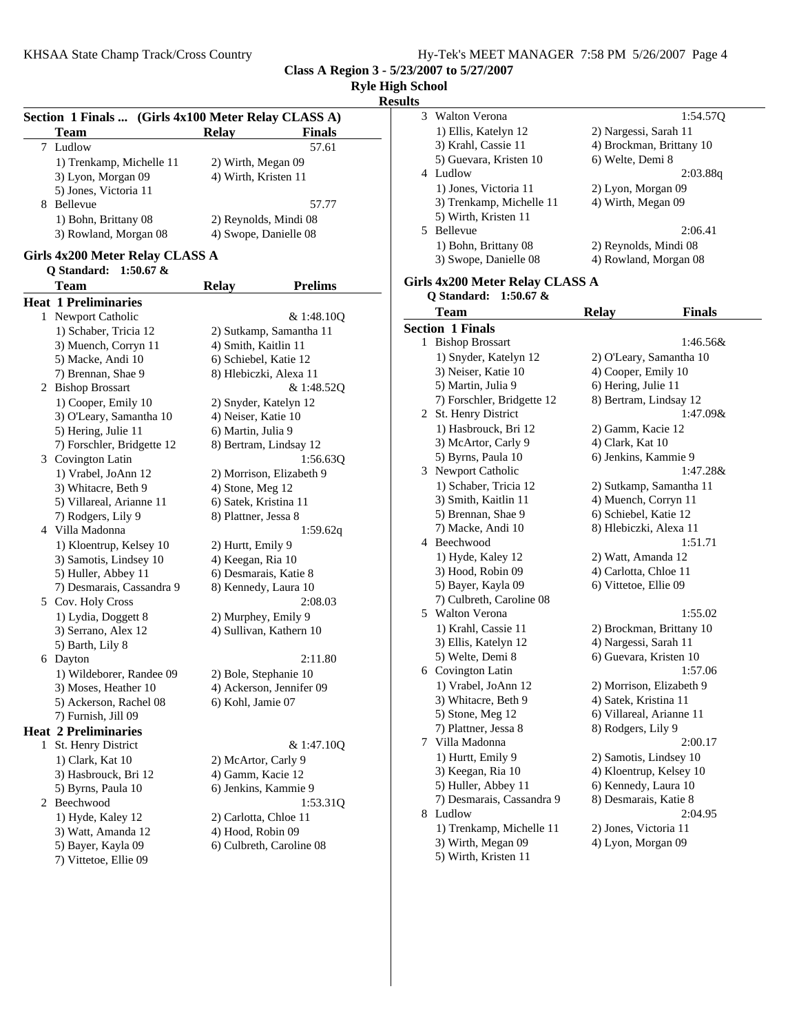**Class A Region 3 - 5/23/2007 to 5/27/2007**

|              |                                                     |                       |                          | <b>Ryle High School</b><br><b>Results</b> |
|--------------|-----------------------------------------------------|-----------------------|--------------------------|-------------------------------------------|
|              | Section 1 Finals  (Girls 4x100 Meter Relay CLASS A) |                       |                          | 3<br>W <sub>3</sub>                       |
|              | Team                                                | <b>Relay</b>          | <b>Finals</b>            | 1)                                        |
| 7            | Ludlow                                              |                       | 57.61                    | 3)                                        |
|              | 1) Trenkamp, Michelle 11                            | 2) Wirth, Megan 09    |                          | 5)                                        |
|              | 3) Lyon, Morgan 09                                  | 4) Wirth, Kristen 11  |                          | 4 Lu                                      |
|              | 5) Jones, Victoria 11                               |                       |                          | 1)                                        |
|              | 8 Bellevue                                          |                       | 57.77                    | 3)                                        |
|              | 1) Bohn, Brittany 08                                |                       | 2) Reynolds, Mindi 08    | 5)                                        |
|              | 3) Rowland, Morgan 08                               | 4) Swope, Danielle 08 |                          | 5 Be                                      |
|              | Girls 4x200 Meter Relay CLASS A                     |                       |                          | 1)                                        |
|              | 1:50.67 $&$<br>Q Standard:                          |                       |                          | 3)                                        |
|              | Team                                                | <b>Relay</b>          | <b>Prelims</b>           | Girls 4x                                  |
|              | <b>Heat 1 Preliminaries</b>                         |                       |                          | Q St                                      |
|              | 1 Newport Catholic                                  |                       | & 1:48.10Q               | Te                                        |
|              | 1) Schaber, Tricia 12                               |                       | 2) Sutkamp, Samantha 11  | <b>Section</b>                            |
|              | 3) Muench, Corryn 11                                | 4) Smith, Kaitlin 11  |                          | 1 Bis                                     |
|              | 5) Macke, Andi 10                                   | 6) Schiebel, Katie 12 |                          | 1)                                        |
|              | 7) Brennan, Shae 9                                  |                       | 8) Hlebiczki, Alexa 11   | 3)                                        |
|              | 2 Bishop Brossart                                   |                       | & 1:48.52Q               | (5)                                       |
|              | 1) Cooper, Emily 10                                 | 2) Snyder, Katelyn 12 |                          | 7)                                        |
|              | 3) O'Leary, Samantha 10                             | 4) Neiser, Katie 10   |                          | 2 St.                                     |
|              | 5) Hering, Julie 11                                 | 6) Martin, Julia 9    |                          | 1)                                        |
|              | 7) Forschler, Bridgette 12                          |                       | 8) Bertram, Lindsay 12   | 3)                                        |
|              | 3 Covington Latin                                   |                       | 1:56.63Q                 | 5)                                        |
|              | 1) Vrabel, JoAnn 12                                 |                       | 2) Morrison, Elizabeth 9 | 3 Ne                                      |
|              | 3) Whitacre, Beth 9                                 | 4) Stone, Meg 12      |                          | 1)                                        |
|              | 5) Villareal, Arianne 11                            | 6) Satek, Kristina 11 |                          | 3)                                        |
|              | 7) Rodgers, Lily 9                                  | 8) Plattner, Jessa 8  |                          | (5)                                       |
|              | 4 Villa Madonna                                     |                       | 1:59.62q                 | (7)                                       |
|              | 1) Kloentrup, Kelsey 10                             | 2) Hurtt, Emily 9     |                          | 4 Be                                      |
|              | 3) Samotis, Lindsey 10                              | 4) Keegan, Ria 10     |                          | 1)                                        |
|              | 5) Huller, Abbey 11                                 | 6) Desmarais, Katie 8 |                          | 3)                                        |
|              | 7) Desmarais, Cassandra 9                           | 8) Kennedy, Laura 10  |                          | (5)                                       |
|              | 5 Cov. Holy Cross                                   |                       | 2:08.03                  | (7)                                       |
|              | 1) Lydia, Doggett 8                                 | 2) Murphey, Emily 9   |                          | $5 W_i$                                   |
|              | 3) Serrano, Alex 12                                 |                       | 4) Sullivan, Kathern 10  | 1)                                        |
|              | 5) Barth, Lily 8                                    |                       |                          | 3)                                        |
|              | 6 Dayton                                            |                       | 2:11.80                  | 5)                                        |
|              | 1) Wildeborer, Randee 09                            | 2) Bole, Stephanie 10 |                          | 6 Co                                      |
|              | 3) Moses, Heather 10                                |                       | 4) Ackerson, Jennifer 09 | 1)                                        |
|              | 5) Ackerson, Rachel 08                              | 6) Kohl, Jamie 07     |                          | 3)                                        |
|              | 7) Furnish, Jill 09                                 |                       |                          | 5)                                        |
|              | <b>Heat 2 Preliminaries</b>                         |                       |                          | (7)                                       |
| $\mathbf{1}$ | St. Henry District                                  |                       | & 1:47.10Q               | 7<br>Vil                                  |
|              | 1) Clark, Kat 10                                    | 2) McArtor, Carly 9   |                          | 1)                                        |
|              | 3) Hasbrouck, Bri 12                                | 4) Gamm, Kacie 12     |                          | 3)                                        |
|              | 5) Byrns, Paula 10                                  | 6) Jenkins, Kammie 9  |                          | 5)                                        |
|              | 2 Beechwood                                         |                       | 1:53.31Q                 | (7)                                       |
|              | 1) Hyde, Kaley 12                                   | 2) Carlotta, Chloe 11 |                          | 8 Lu                                      |
|              | 3) Watt, Amanda 12                                  | 4) Hood, Robin 09     |                          | 1)<br>3)                                  |
|              | 5) Bayer, Kayla 09                                  |                       | 6) Culbreth, Caroline 08 | 5)                                        |
|              | 7) Vittetoe, Ellie 09                               |                       |                          |                                           |

**Results** 3 1:54.57Q Walton Verona 1) Ellis, Katelyn 12 2) Nargessi, Sarah 11 3) Krahl, Cassie 11 4) Brockman, Brittany 10 5) Guevara, Kristen 10 6) Welte, Demi 8 4 2:03.88q Ludlow 1) Jones, Victoria 11 2) Lyon, Morgan 09 3) Trenkamp, Michelle 11 4) Wirth, Megan 09 5) Wirth, Kristen 11 5 Bellevue 2:06.41 1) Bohn, Brittany 08 2) Reynolds, Mindi 08 3) Swope, Danielle 08 4) Rowland, Morgan 08 **Girls 4x200 Meter Relay CLASS A Q Standard: 1:50.67 &** Team Relay Finals **Section 1 Finals** 1:46.56& 1:46.56& 1) Snyder, Katelyn 12 2) O'Leary, Samantha 10 3) Neiser, Katie 10 4) Cooper, Emily 10 5) Martin, Julia 9 6) Hering, Julie 11 7) Forschler, Bridgette 12 8) Bertram, Lindsay 12 2 St. Henry District 1:47.09& 1) Hasbrouck, Bri 12 2) Gamm, Kacie 12 3) McArtor, Carly 9 4) Clark, Kat 10 5) Byrns, Paula 10 6) Jenkins, Kammie 9 3 1:47.28& Newport Catholic 1) Schaber, Tricia 12 2) Sutkamp, Samantha 11 3) Smith, Kaitlin 11 4) Muench, Corryn 11 5) Brennan, Shae 9 6) Schiebel, Katie 12 7) Macke, Andi 10 8) Hlebiczki, Alexa 11 4 1:51.71 Beechwood 1) Hyde, Kaley 12 2) Watt, Amanda 12 3) Hood, Robin 09 4) Carlotta, Chloe 11 5) Bayer, Kayla 09 6) Vittetoe, Ellie 09 7) Culbreth, Caroline 08 5 1:55.02 Walton Verona 1) Krahl, Cassie 11 2) Brockman, Brittany 10 3) Ellis, Katelyn 12 4) Nargessi, Sarah 11 5) Welte, Demi 8 6) Guevara, Kristen 10 6 1:57.06 Covington Latin 1) Vrabel, JoAnn 12 2) Morrison, Elizabeth 9 3) Whitacre, Beth 9 4) Satek, Kristina 11 5) Stone, Meg 12 6) Villareal, Arianne 11 7) Plattner, Jessa 8 8) Rodgers, Lily 9 7 2:00.17 Villa Madonna 1) Hurtt, Emily 9 2) Samotis, Lindsey 10 3) Keegan, Ria 10 4) Kloentrup, Kelsey 10 5) Huller, Abbey 11 6) Kennedy, Laura 10 7) Desmarais, Cassandra 9 8) Desmarais, Katie 8 8 2:04.95 Ludlow 1) Trenkamp, Michelle 11 2) Jones, Victoria 11 3) Wirth, Megan 09 4) Lyon, Morgan 09 5) Wirth, Kristen 11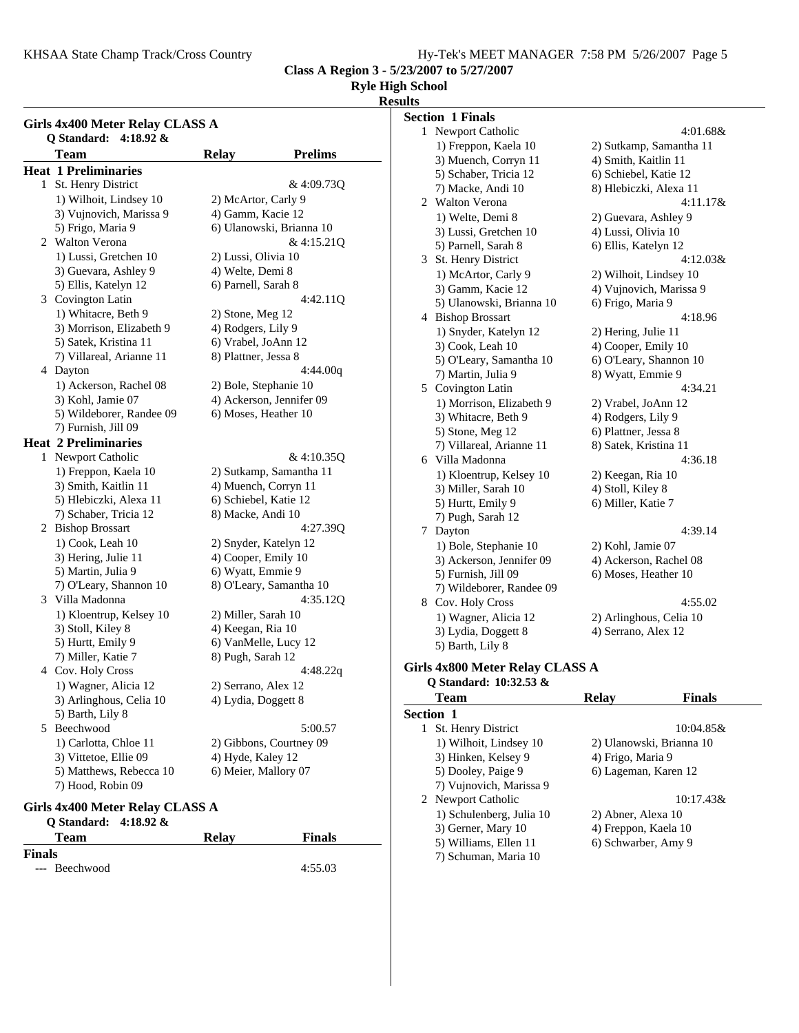KHSAA State Champ Track/Cross Country Fig. 2008 MEET MANAGER 7:58 PM 5/26/2007 Page 5

**Class A Region 3 - 5/23/2007 to 5/27/2007**

## **Ryle High School**

### **Results**

**Girls 4x400 Meter Relay CLASS A Q Standard: 4:18.92 &** Team Relay **Prelims Heat 1 Preliminaries** 1 St. Henry District & 4:09.73Q 1) Wilhoit, Lindsey 10 2) McArtor, Carly 9 3) Vujnovich, Marissa 9 4) Gamm, Kacie 12 5) Frigo, Maria 9 6) Ulanowski, Brianna 10 2 & 4:15.21Q Walton Verona 1) Lussi, Gretchen 10 2) Lussi, Olivia 10 3) Guevara, Ashley 9 4) Welte, Demi 8 5) Ellis, Katelyn 12 6) Parnell, Sarah 8 3 4:42.11Q Covington Latin 1) Whitacre, Beth 9 2) Stone, Meg 12 3) Morrison, Elizabeth 9 4) Rodgers, Lily 9 5) Satek, Kristina 11 6) Vrabel, JoAnn 12 7) Villareal, Arianne 11 8) Plattner, Jessa 8 4:44.00q 4:44.00q 1) Ackerson, Rachel 08 2) Bole, Stephanie 10 3) Kohl, Jamie 07 4) Ackerson, Jennifer 09 5) Wildeborer, Randee 09 6) Moses, Heather 10 7) Furnish, Jill 09 **Heat 2 Preliminaries** 1 Newport Catholic  $\&$  4:10.350 1) Freppon, Kaela 10 2) Sutkamp, Samantha 11 3) Smith, Kaitlin 11 4) Muench, Corryn 11 5) Hlebiczki, Alexa 11 6) Schiebel, Katie 12 7) Schaber, Tricia 12 8) Macke, Andi 10 2 4:27.39Q Bishop Brossart 1) Cook, Leah 10 2) Snyder, Katelyn 12 3) Hering, Julie 11 4) Cooper, Emily 10 5) Martin, Julia 9 6) Wyatt, Emmie 9 7) O'Leary, Shannon 10 8) O'Leary, Samantha 10 3 4:35.12Q Villa Madonna 1) Kloentrup, Kelsey 10 2) Miller, Sarah 10 3) Stoll, Kiley 8 4) Keegan, Ria 10 5) Hurtt, Emily 9 6) VanMelle, Lucy 12 7) Miller, Katie 7 8) Pugh, Sarah 12 4:48.22q 4:48.22q 1) Wagner, Alicia 12 2) Serrano, Alex 12 3) Arlinghous, Celia 10 4) Lydia, Doggett 8 5) Barth, Lily 8 5 5:00.57 Beechwood 1) Carlotta, Chloe 11 2) Gibbons, Courtney 09 3) Vittetoe, Ellie 09 4) Hyde, Kaley 12 5) Matthews, Rebecca 10 6) Meier, Mallory 07 7) Hood, Robin 09

## **Girls 4x400 Meter Relay CLASS A**

| O Standard: $4:18.92 \&$ |       |               |  |
|--------------------------|-------|---------------|--|
| Team                     | Relav | <b>Finals</b> |  |
| <b>Finals</b>            |       |               |  |
| --- Beechwood            |       | 4:55.03       |  |

|           | <b>Section 1 Finals</b>         |                         |               |
|-----------|---------------------------------|-------------------------|---------------|
|           | 1 Newport Catholic              |                         | 4:01.68&      |
|           | 1) Freppon, Kaela 10            | 2) Sutkamp, Samantha 11 |               |
|           | 3) Muench, Corryn 11            | 4) Smith, Kaitlin 11    |               |
|           | 5) Schaber, Tricia 12           | 6) Schiebel, Katie 12   |               |
|           | 7) Macke, Andi 10               | 8) Hlebiczki, Alexa 11  |               |
|           | 2 Walton Verona                 |                         | 4:11.17&      |
|           | 1) Welte, Demi 8                | 2) Guevara, Ashley 9    |               |
|           | 3) Lussi, Gretchen 10           | 4) Lussi, Olivia 10     |               |
|           | 5) Parnell, Sarah 8             | 6) Ellis, Katelyn 12    |               |
|           | 3 St. Henry District            |                         | $4:12.03\&$   |
|           | 1) McArtor, Carly 9             | 2) Wilhoit, Lindsey 10  |               |
|           | 3) Gamm, Kacie 12               | 4) Vujnovich, Marissa 9 |               |
|           | 5) Ulanowski, Brianna 10        | 6) Frigo, Maria 9       |               |
|           | 4 Bishop Brossart               |                         | 4:18.96       |
|           | 1) Snyder, Katelyn 12           | 2) Hering, Julie 11     |               |
|           | 3) Cook, Leah 10                | 4) Cooper, Emily 10     |               |
|           | 5) O'Leary, Samantha 10         | 6) O'Leary, Shannon 10  |               |
|           | 7) Martin, Julia 9              | 8) Wyatt, Emmie 9       |               |
|           | 5 Covington Latin               |                         | 4:34.21       |
|           | 1) Morrison, Elizabeth 9        | 2) Vrabel, JoAnn 12     |               |
|           | 3) Whitacre, Beth 9             | 4) Rodgers, Lily 9      |               |
|           | 5) Stone, Meg 12                | 6) Plattner, Jessa 8    |               |
|           | 7) Villareal, Arianne 11        | 8) Satek, Kristina 11   |               |
|           | 6 Villa Madonna                 |                         | 4:36.18       |
|           | 1) Kloentrup, Kelsey 10         | 2) Keegan, Ria 10       |               |
|           | 3) Miller, Sarah 10             | 4) Stoll, Kiley 8       |               |
|           | 5) Hurtt, Emily 9               | 6) Miller, Katie 7      |               |
|           | 7) Pugh, Sarah 12               |                         |               |
|           | 7 Dayton                        |                         | 4:39.14       |
|           | 1) Bole, Stephanie 10           | 2) Kohl, Jamie 07       |               |
|           | 3) Ackerson, Jennifer 09        | 4) Ackerson, Rachel 08  |               |
|           | 5) Furnish, Jill 09             | 6) Moses, Heather 10    |               |
|           | 7) Wildeborer, Randee 09        |                         |               |
|           | 8 Cov. Holy Cross               |                         | 4:55.02       |
|           | 1) Wagner, Alicia 12            | 2) Arlinghous, Celia 10 |               |
|           | 3) Lydia, Doggett 8             | 4) Serrano, Alex 12     |               |
|           | 5) Barth, Lily 8                |                         |               |
|           | Girls 4x800 Meter Relay CLASS A |                         |               |
|           | Q Standard: 10:32.53 &          |                         |               |
|           | Team                            | <b>Relay</b>            | <b>Finals</b> |
| Section 1 |                                 |                         |               |

| <b>Section 1</b>         |                          |
|--------------------------|--------------------------|
| St. Henry District<br>1  | 10:04.85&                |
| 1) Wilhoit, Lindsey 10   | 2) Ulanowski, Brianna 10 |
| 3) Hinken, Kelsey 9      | 4) Frigo, Maria 9        |
| 5) Dooley, Paige 9       | 6) Lageman, Karen 12     |
| 7) Vujnovich, Marissa 9  |                          |
| 2 Newport Catholic       | $10:17.43\&$             |
| 1) Schulenberg, Julia 10 | 2) Abner, Alexa 10       |
| 3) Gerner, Mary 10       | 4) Freppon, Kaela 10     |
| 5) Williams, Ellen 11    | 6) Schwarber, Amy 9      |
| 7) Schuman, Maria 10     |                          |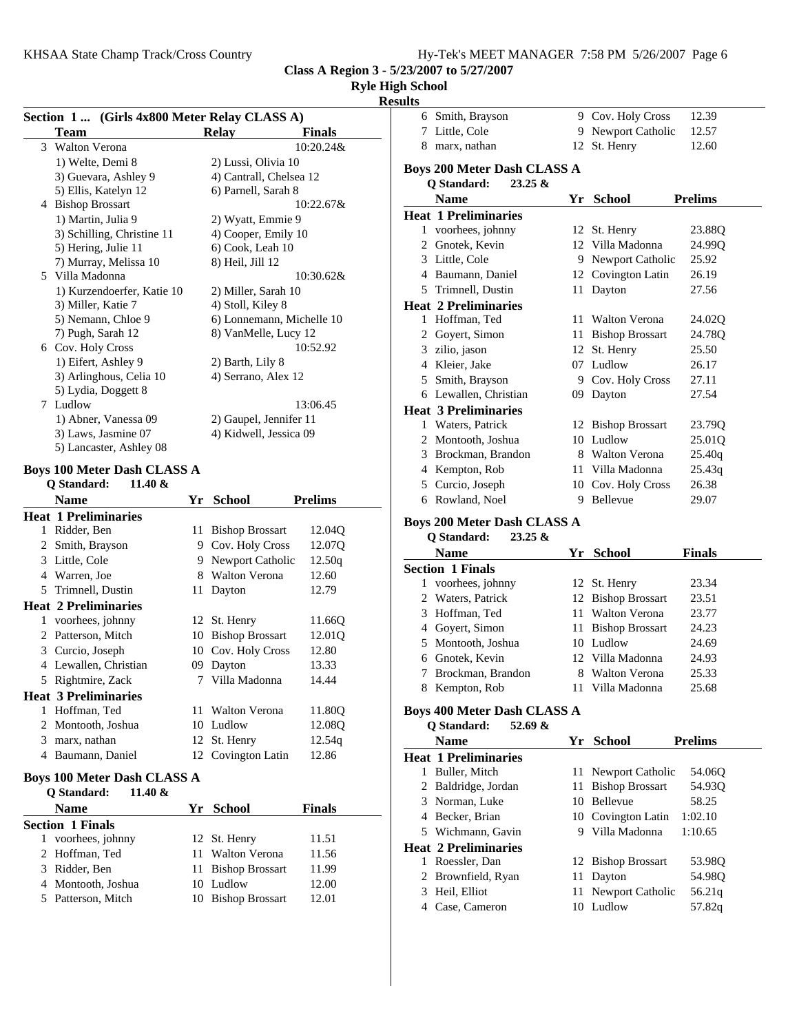9 Cov. Holy Cross 12.39

**Class A Region 3 - 5/23/2007 to 5/27/2007**

## **Ryle High School**

# **Results** 6 Smith, Brayson

|   | Section 1  (Girls 4x800 Meter Relay CLASS A)     |     |                                         |                |
|---|--------------------------------------------------|-----|-----------------------------------------|----------------|
|   | Team                                             |     | <b>Relay</b>                            | Finals         |
|   | 3 Walton Verona                                  |     |                                         | 10:20.24&      |
|   | 1) Welte, Demi 8                                 |     | 2) Lussi, Olivia 10                     |                |
|   | 3) Guevara, Ashley 9                             |     | 4) Cantrall, Chelsea 12                 |                |
|   | 5) Ellis, Katelyn 12                             |     | 6) Parnell, Sarah 8                     |                |
|   | 4 Bishop Brossart                                |     |                                         | 10:22.67&      |
|   | 1) Martin, Julia 9<br>3) Schilling, Christine 11 |     | 2) Wyatt, Emmie 9                       |                |
|   | 5) Hering, Julie 11                              |     | 4) Cooper, Emily 10<br>6) Cook, Leah 10 |                |
|   | 7) Murray, Melissa 10                            |     | 8) Heil, Jill 12                        |                |
|   | 5 Villa Madonna                                  |     |                                         | 10:30.62&      |
|   | 1) Kurzendoerfer, Katie 10                       |     | 2) Miller, Sarah 10                     |                |
|   | 3) Miller, Katie 7                               |     | 4) Stoll, Kiley 8                       |                |
|   | 5) Nemann, Chloe 9                               |     | 6) Lonnemann, Michelle 10               |                |
|   | 7) Pugh, Sarah 12                                |     | 8) VanMelle, Lucy 12                    |                |
|   | 6 Cov. Holy Cross                                |     |                                         | 10:52.92       |
|   | 1) Eifert, Ashley 9                              |     | 2) Barth, Lily 8                        |                |
|   | 3) Arlinghous, Celia 10                          |     | 4) Serrano, Alex 12                     |                |
|   | 5) Lydia, Doggett 8                              |     |                                         |                |
|   | 7 Ludlow                                         |     |                                         | 13:06.45       |
|   | 1) Abner, Vanessa 09                             |     | 2) Gaupel, Jennifer 11                  |                |
|   | 3) Laws, Jasmine 07                              |     | 4) Kidwell, Jessica 09                  |                |
|   | 5) Lancaster, Ashley 08                          |     |                                         |                |
|   | <b>Boys 100 Meter Dash CLASS A</b>               |     |                                         |                |
|   | Q Standard:<br>11.40 &                           |     |                                         |                |
|   | <b>Name</b>                                      | Yr  | <b>School</b>                           | <b>Prelims</b> |
|   | <b>Heat 1 Preliminaries</b>                      |     |                                         |                |
|   | 1 Ridder, Ben                                    |     | 11 Bishop Brossart                      | 12.04Q         |
|   | 2 Smith, Brayson                                 |     | 9 Cov. Holy Cross                       | 12.07Q         |
|   | 3 Little, Cole                                   |     | 9 Newport Catholic                      | 12.50q         |
|   | 4 Warren, Joe                                    |     | 8 Walton Verona                         | 12.60          |
|   | 5 Trimnell, Dustin                               | 11  | Dayton                                  | 12.79          |
|   | <b>Heat 2 Preliminaries</b>                      |     |                                         |                |
|   | 1 voorhees, johnny                               | 12  | St. Henry                               | 11.66Q         |
|   | 2 Patterson, Mitch                               |     | 10 Bishop Brossart                      | 12.01Q         |
|   | 3 Curcio, Joseph                                 |     |                                         |                |
|   |                                                  |     |                                         |                |
|   |                                                  |     | 10 Cov. Holy Cross                      | 12.80          |
|   | 4 Lewallen, Christian                            |     | 09 Dayton                               | 13.33          |
|   | 5 Rightmire, Zack                                | 7   | Villa Madonna                           | 14.44          |
|   | <b>Heat 3 Preliminaries</b>                      |     |                                         |                |
|   | 1 Hoffman, Ted                                   |     | 11 Walton Verona                        | 11.80Q         |
| 2 | Montooth, Joshua                                 |     | 10 Ludlow                               | 12.08Q         |
|   | 3 marx, nathan                                   |     | 12 St. Henry                            | 12.54q         |
|   | 4 Baumann, Daniel                                | 12  | Covington Latin                         | 12.86          |
|   | <b>Boys 100 Meter Dash CLASS A</b>               |     |                                         |                |
|   | Q Standard:<br>11.40 $&$                         |     |                                         |                |
|   | <b>Name</b>                                      |     | Yr School                               | Finals         |
|   | <b>Section 1 Finals</b>                          |     |                                         |                |
|   | 1 voorhees, johnny                               | 12  | St. Henry                               | 11.51          |
|   | 2 Hoffman, Ted                                   | 11- | <b>Walton Verona</b>                    | 11.56          |
|   | 3 Ridder, Ben                                    | 11  | <b>Bishop Brossart</b>                  | 11.99          |
|   | 4 Montooth, Joshua<br>5 Patterson, Mitch         |     | 10 Ludlow<br>10 Bishop Brossart         | 12.00<br>12.01 |

| 7 | Little, Cole                                                    | 9 Newport Catholic |                        | 12.60          |
|---|-----------------------------------------------------------------|--------------------|------------------------|----------------|
|   | 8 marx, nathan                                                  |                    | 12 St. Henry           |                |
|   | <b>Boys 200 Meter Dash CLASS A</b><br>Q Standard:<br>$23.25 \&$ |                    |                        |                |
|   | <b>Name</b>                                                     |                    | Yr School              | <b>Prelims</b> |
|   | <b>Heat 1 Preliminaries</b>                                     |                    |                        |                |
|   | 1 voorhees, johnny                                              |                    | 12 St. Henry           | 23.88Q         |
|   | 2 Gnotek, Kevin                                                 |                    | 12 Villa Madonna       | 24.99Q         |
|   | 3 Little, Cole                                                  |                    | 9 Newport Catholic     | 25.92          |
|   | 4 Baumann, Daniel                                               |                    | 12 Covington Latin     | 26.19          |
|   | 5 Trimnell, Dustin                                              | 11                 | Dayton                 | 27.56          |
|   | <b>Heat 2 Preliminaries</b>                                     |                    |                        |                |
|   | 1 Hoffman, Ted                                                  | 11                 | Walton Verona          | 24.02Q         |
|   | 2 Goyert, Simon                                                 |                    | 11 Bishop Brossart     | 24.78Q         |
| 3 | zilio, jason                                                    |                    | 12 St. Henry           | 25.50          |
|   | 4 Kleier, Jake                                                  |                    | 07 Ludlow              | 26.17          |
|   | 5 Smith, Brayson                                                |                    | 9 Cov. Holy Cross      | 27.11          |
|   | 6 Lewallen, Christian                                           | 09.                | Dayton                 | 27.54          |
|   | <b>Heat 3 Preliminaries</b>                                     |                    |                        |                |
|   | 1 Waters, Patrick                                               |                    | 12 Bishop Brossart     | 23.79Q         |
|   | 2 Montooth, Joshua                                              |                    | 10 Ludlow              | 25.01Q         |
|   | 3 Brockman, Brandon                                             |                    | 8 Walton Verona        | 25.40q         |
|   | 4 Kempton, Rob                                                  |                    | 11 Villa Madonna       | 25.43q         |
|   | 5 Curcio, Joseph                                                |                    | 10 Cov. Holy Cross     | 26.38          |
|   |                                                                 |                    |                        |                |
|   | 6 Rowland, Noel<br><b>Boys 200 Meter Dash CLASS A</b>           | 9.                 | Bellevue               | 29.07          |
|   | Q Standard:<br>23.25 &<br><b>Name</b>                           |                    | Yr School              | <b>Finals</b>  |
|   | <b>Section 1 Finals</b>                                         |                    |                        |                |
| 1 | voorhees, johnny                                                |                    | 12 St. Henry           | 23.34          |
|   | 2 Waters, Patrick                                               | 12                 | <b>Bishop Brossart</b> | 23.51          |
|   | 3 Hoffman, Ted                                                  |                    | 11 Walton Verona       | 23.77          |
|   | 4 Goyert, Simon                                                 |                    | 11 Bishop Brossart     | 24.23          |
|   | 5 Montooth, Joshua                                              |                    | 10 Ludlow              | 24.69          |
|   | 6 Gnotek, Kevin                                                 |                    | 12 Villa Madonna       | 24.93          |
| 7 | Brockman, Brandon                                               | 8                  | <b>Walton Verona</b>   | 25.33          |
| 8 | Kempton, Rob                                                    |                    | 11 Villa Madonna       | 25.68          |
|   | <b>Boys 400 Meter Dash CLASS A</b><br>Q Standard:<br>52.69 $\&$ |                    |                        |                |
|   | <b>Name</b>                                                     |                    | Yr School              | <b>Prelims</b> |
|   | <b>Heat 1 Preliminaries</b>                                     |                    |                        |                |
| 1 | Buller, Mitch                                                   | 11                 | Newport Catholic       | 54.06Q         |
| 2 | Baldridge, Jordan                                               | 11                 | <b>Bishop Brossart</b> | 54.93Q         |
| 3 | Norman, Luke                                                    | 10                 | Bellevue               | 58.25          |
| 4 | Becker, Brian                                                   | 10                 | Covington Latin        | 1:02.10        |
|   | 5 Wichmann, Gavin                                               |                    | 9 Villa Madonna        | 1:10.65        |
|   | <b>Heat 2 Preliminaries</b>                                     |                    |                        |                |
| 1 | Roessler, Dan                                                   |                    | 12 Bishop Brossart     | 53.98Q         |
| 2 | Brownfield, Ryan                                                | 11                 | Dayton                 | 54.98Q         |
| 3 | Heil, Elliot                                                    | 11                 | Newport Catholic       | 56.21q         |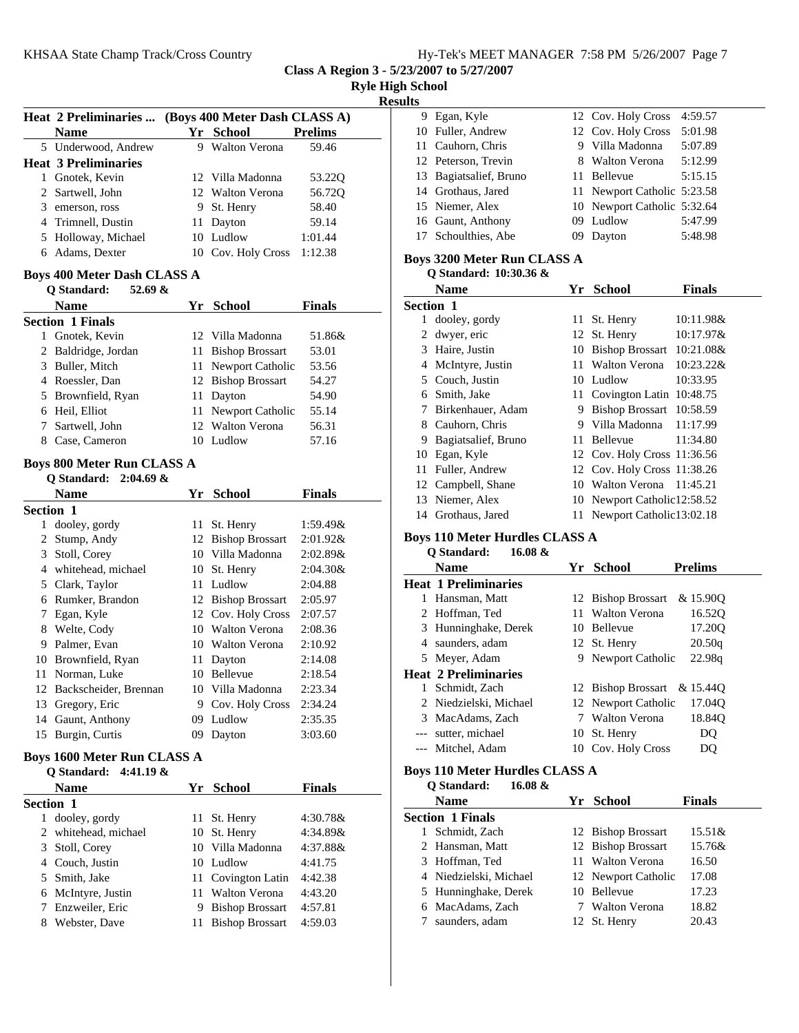**Class A Region 3 - 5/23/2007 to 5/27/2007**

| <b>Ryle High School</b> |  |
|-------------------------|--|
|-------------------------|--|

**Results**

| <b>Heat 2 Preliminaries </b><br>Name<br>5 Underwood, Andrew<br><b>Heat 3 Preliminaries</b><br>1 Gnotek, Kevin<br>2 Sartwell, John<br>3 emerson, ross<br>4 Trimnell, Dustin<br>5 Holloway, Michael<br>6 Adams, Dexter<br><b>Boys 400 Meter Dash CLASS A</b><br>Q Standard:<br>52.69 &<br>Name<br><b>Section 1 Finals</b><br>Gnotek, Kevin<br>2 Baldridge, Jordan<br>3 Buller, Mitch<br>4 Roessler, Dan<br>5 Brownfield, Ryan<br>6 Heil, Elliot<br>7 Sartwell, John<br>8 Case, Cameron<br><b>Boys 800 Meter Run CLASS A</b><br>Q Standard:<br>$2:04.69$ &<br><b>Name</b><br>Section 1 | 9  | (Boys 400 Meter Dash CLASS A)<br>Yr School<br><b>Walton Verona</b><br>12 Villa Madonna<br>12 Walton Verona<br>9 St. Henry<br>11 Dayton<br>10 Ludlow<br>10 Cov. Holy Cross<br>Yr School<br>12 Villa Madonna<br>11 Bishop Brossart<br>11 Newport Catholic<br>12 Bishop Brossart<br>11 Dayton<br>11 Newport Catholic<br>12 Walton Verona<br>10 Ludlow | <b>Prelims</b><br>59.46<br>53.22Q<br>56.72Q<br>58.40<br>59.14<br>1:01.44<br>1:12.38<br><b>Finals</b><br>51.86&<br>53.01<br>53.56<br>54.27<br>54.90<br>55.14<br>56.31<br>57.16 |
|-------------------------------------------------------------------------------------------------------------------------------------------------------------------------------------------------------------------------------------------------------------------------------------------------------------------------------------------------------------------------------------------------------------------------------------------------------------------------------------------------------------------------------------------------------------------------------------|----|----------------------------------------------------------------------------------------------------------------------------------------------------------------------------------------------------------------------------------------------------------------------------------------------------------------------------------------------------|-------------------------------------------------------------------------------------------------------------------------------------------------------------------------------|
|                                                                                                                                                                                                                                                                                                                                                                                                                                                                                                                                                                                     |    |                                                                                                                                                                                                                                                                                                                                                    |                                                                                                                                                                               |
|                                                                                                                                                                                                                                                                                                                                                                                                                                                                                                                                                                                     |    |                                                                                                                                                                                                                                                                                                                                                    |                                                                                                                                                                               |
|                                                                                                                                                                                                                                                                                                                                                                                                                                                                                                                                                                                     |    |                                                                                                                                                                                                                                                                                                                                                    |                                                                                                                                                                               |
|                                                                                                                                                                                                                                                                                                                                                                                                                                                                                                                                                                                     |    |                                                                                                                                                                                                                                                                                                                                                    |                                                                                                                                                                               |
|                                                                                                                                                                                                                                                                                                                                                                                                                                                                                                                                                                                     |    |                                                                                                                                                                                                                                                                                                                                                    |                                                                                                                                                                               |
|                                                                                                                                                                                                                                                                                                                                                                                                                                                                                                                                                                                     |    |                                                                                                                                                                                                                                                                                                                                                    |                                                                                                                                                                               |
|                                                                                                                                                                                                                                                                                                                                                                                                                                                                                                                                                                                     |    |                                                                                                                                                                                                                                                                                                                                                    |                                                                                                                                                                               |
|                                                                                                                                                                                                                                                                                                                                                                                                                                                                                                                                                                                     |    |                                                                                                                                                                                                                                                                                                                                                    |                                                                                                                                                                               |
|                                                                                                                                                                                                                                                                                                                                                                                                                                                                                                                                                                                     |    |                                                                                                                                                                                                                                                                                                                                                    |                                                                                                                                                                               |
|                                                                                                                                                                                                                                                                                                                                                                                                                                                                                                                                                                                     |    |                                                                                                                                                                                                                                                                                                                                                    |                                                                                                                                                                               |
|                                                                                                                                                                                                                                                                                                                                                                                                                                                                                                                                                                                     |    |                                                                                                                                                                                                                                                                                                                                                    |                                                                                                                                                                               |
|                                                                                                                                                                                                                                                                                                                                                                                                                                                                                                                                                                                     |    |                                                                                                                                                                                                                                                                                                                                                    |                                                                                                                                                                               |
|                                                                                                                                                                                                                                                                                                                                                                                                                                                                                                                                                                                     |    |                                                                                                                                                                                                                                                                                                                                                    |                                                                                                                                                                               |
|                                                                                                                                                                                                                                                                                                                                                                                                                                                                                                                                                                                     |    |                                                                                                                                                                                                                                                                                                                                                    |                                                                                                                                                                               |
|                                                                                                                                                                                                                                                                                                                                                                                                                                                                                                                                                                                     |    |                                                                                                                                                                                                                                                                                                                                                    |                                                                                                                                                                               |
|                                                                                                                                                                                                                                                                                                                                                                                                                                                                                                                                                                                     |    |                                                                                                                                                                                                                                                                                                                                                    |                                                                                                                                                                               |
|                                                                                                                                                                                                                                                                                                                                                                                                                                                                                                                                                                                     |    |                                                                                                                                                                                                                                                                                                                                                    |                                                                                                                                                                               |
|                                                                                                                                                                                                                                                                                                                                                                                                                                                                                                                                                                                     |    |                                                                                                                                                                                                                                                                                                                                                    |                                                                                                                                                                               |
|                                                                                                                                                                                                                                                                                                                                                                                                                                                                                                                                                                                     |    |                                                                                                                                                                                                                                                                                                                                                    |                                                                                                                                                                               |
|                                                                                                                                                                                                                                                                                                                                                                                                                                                                                                                                                                                     |    |                                                                                                                                                                                                                                                                                                                                                    |                                                                                                                                                                               |
|                                                                                                                                                                                                                                                                                                                                                                                                                                                                                                                                                                                     |    |                                                                                                                                                                                                                                                                                                                                                    |                                                                                                                                                                               |
|                                                                                                                                                                                                                                                                                                                                                                                                                                                                                                                                                                                     |    |                                                                                                                                                                                                                                                                                                                                                    |                                                                                                                                                                               |
|                                                                                                                                                                                                                                                                                                                                                                                                                                                                                                                                                                                     |    |                                                                                                                                                                                                                                                                                                                                                    |                                                                                                                                                                               |
|                                                                                                                                                                                                                                                                                                                                                                                                                                                                                                                                                                                     |    | Yr School                                                                                                                                                                                                                                                                                                                                          | <b>Finals</b>                                                                                                                                                                 |
|                                                                                                                                                                                                                                                                                                                                                                                                                                                                                                                                                                                     |    |                                                                                                                                                                                                                                                                                                                                                    |                                                                                                                                                                               |
| dooley, gordy                                                                                                                                                                                                                                                                                                                                                                                                                                                                                                                                                                       | 11 | St. Henry                                                                                                                                                                                                                                                                                                                                          | 1:59.49&                                                                                                                                                                      |
| 2 Stump, Andy                                                                                                                                                                                                                                                                                                                                                                                                                                                                                                                                                                       | 12 | <b>Bishop Brossart</b>                                                                                                                                                                                                                                                                                                                             | $2:01.92\&$                                                                                                                                                                   |
| 3 Stoll, Corey                                                                                                                                                                                                                                                                                                                                                                                                                                                                                                                                                                      |    | 10 Villa Madonna                                                                                                                                                                                                                                                                                                                                   | $2:02.89\&$                                                                                                                                                                   |
| 4 whitehead, michael                                                                                                                                                                                                                                                                                                                                                                                                                                                                                                                                                                |    | 10 St. Henry                                                                                                                                                                                                                                                                                                                                       | 2:04.30&                                                                                                                                                                      |
| 5 Clark, Taylor                                                                                                                                                                                                                                                                                                                                                                                                                                                                                                                                                                     |    | 11 Ludlow                                                                                                                                                                                                                                                                                                                                          | 2:04.88                                                                                                                                                                       |
| 6 Rumker, Brandon                                                                                                                                                                                                                                                                                                                                                                                                                                                                                                                                                                   |    | 12 Bishop Brossart                                                                                                                                                                                                                                                                                                                                 | 2:05.97                                                                                                                                                                       |
| 7 Egan, Kyle                                                                                                                                                                                                                                                                                                                                                                                                                                                                                                                                                                        |    | 12 Cov. Holy Cross                                                                                                                                                                                                                                                                                                                                 | 2:07.57                                                                                                                                                                       |
| 8 Welte, Cody                                                                                                                                                                                                                                                                                                                                                                                                                                                                                                                                                                       |    | 10 Walton Verona                                                                                                                                                                                                                                                                                                                                   | 2:08.36                                                                                                                                                                       |
| 9 Palmer, Evan                                                                                                                                                                                                                                                                                                                                                                                                                                                                                                                                                                      |    | 10 Walton Verona                                                                                                                                                                                                                                                                                                                                   | 2:10.92                                                                                                                                                                       |
| 10 Brownfield, Ryan                                                                                                                                                                                                                                                                                                                                                                                                                                                                                                                                                                 | 11 | Dayton                                                                                                                                                                                                                                                                                                                                             | 2:14.08                                                                                                                                                                       |
| 11 Norman, Luke                                                                                                                                                                                                                                                                                                                                                                                                                                                                                                                                                                     |    | 10 Bellevue                                                                                                                                                                                                                                                                                                                                        | 2:18.54                                                                                                                                                                       |
| Backscheider, Brennan                                                                                                                                                                                                                                                                                                                                                                                                                                                                                                                                                               | 10 | Villa Madonna                                                                                                                                                                                                                                                                                                                                      | 2:23.34                                                                                                                                                                       |
| 13 Gregory, Eric                                                                                                                                                                                                                                                                                                                                                                                                                                                                                                                                                                    |    | 9 Cov. Holy Cross                                                                                                                                                                                                                                                                                                                                  | 2:34.24                                                                                                                                                                       |
| 14 Gaunt, Anthony                                                                                                                                                                                                                                                                                                                                                                                                                                                                                                                                                                   |    | 09 Ludlow                                                                                                                                                                                                                                                                                                                                          | 2:35.35                                                                                                                                                                       |
| 15 Burgin, Curtis                                                                                                                                                                                                                                                                                                                                                                                                                                                                                                                                                                   | 09 | Dayton                                                                                                                                                                                                                                                                                                                                             | 3:03.60                                                                                                                                                                       |
|                                                                                                                                                                                                                                                                                                                                                                                                                                                                                                                                                                                     |    |                                                                                                                                                                                                                                                                                                                                                    |                                                                                                                                                                               |
| Q Standard:                                                                                                                                                                                                                                                                                                                                                                                                                                                                                                                                                                         |    |                                                                                                                                                                                                                                                                                                                                                    |                                                                                                                                                                               |
| Name                                                                                                                                                                                                                                                                                                                                                                                                                                                                                                                                                                                | Yr | <b>School</b>                                                                                                                                                                                                                                                                                                                                      | <b>Finals</b>                                                                                                                                                                 |
| Section 1                                                                                                                                                                                                                                                                                                                                                                                                                                                                                                                                                                           |    |                                                                                                                                                                                                                                                                                                                                                    |                                                                                                                                                                               |
| 1 dooley, gordy                                                                                                                                                                                                                                                                                                                                                                                                                                                                                                                                                                     | 11 | St. Henry                                                                                                                                                                                                                                                                                                                                          | 4:30.78&                                                                                                                                                                      |
| 2 whitehead, michael                                                                                                                                                                                                                                                                                                                                                                                                                                                                                                                                                                | 10 | St. Henry                                                                                                                                                                                                                                                                                                                                          | 4:34.89&                                                                                                                                                                      |
| Stoll, Corey                                                                                                                                                                                                                                                                                                                                                                                                                                                                                                                                                                        |    |                                                                                                                                                                                                                                                                                                                                                    | 4:37.88&                                                                                                                                                                      |
|                                                                                                                                                                                                                                                                                                                                                                                                                                                                                                                                                                                     |    |                                                                                                                                                                                                                                                                                                                                                    | 4:41.75                                                                                                                                                                       |
| 4 Couch, Justin                                                                                                                                                                                                                                                                                                                                                                                                                                                                                                                                                                     |    |                                                                                                                                                                                                                                                                                                                                                    | 4:42.38                                                                                                                                                                       |
| 5 Smith, Jake                                                                                                                                                                                                                                                                                                                                                                                                                                                                                                                                                                       |    |                                                                                                                                                                                                                                                                                                                                                    | 4:43.20                                                                                                                                                                       |
|                                                                                                                                                                                                                                                                                                                                                                                                                                                                                                                                                                                     |    |                                                                                                                                                                                                                                                                                                                                                    | 4:57.81                                                                                                                                                                       |
| 6 McIntyre, Justin                                                                                                                                                                                                                                                                                                                                                                                                                                                                                                                                                                  |    |                                                                                                                                                                                                                                                                                                                                                    | 4:59.03                                                                                                                                                                       |
|                                                                                                                                                                                                                                                                                                                                                                                                                                                                                                                                                                                     |    | <b>Boys 1600 Meter Run CLASS A</b><br>4:41.19 &<br>Enzweiler, Eric                                                                                                                                                                                                                                                                                 | 10 Villa Madonna<br>10 Ludlow<br>Covington Latin<br>11 -<br>11 Walton Verona<br>9 Bishop Brossart<br>Webster, Dave<br><b>Bishop Brossart</b><br>11                            |

| 9 Egan, Kyle           | 12 Cov. Holy Cross 4:59.57  |         |
|------------------------|-----------------------------|---------|
| 10 Fuller, Andrew      | 12 Cov. Holy Cross          | 5:01.98 |
| 11 Cauhorn, Chris      | 9 Villa Madonna             | 5:07.89 |
| 12 Peterson, Trevin    | 8 Walton Verona             | 5:12.99 |
| 13 Bagiatsalief, Bruno | 11 Bellevue                 | 5:15.15 |
| 14 Grothaus, Jared     | 11 Newport Catholic 5:23.58 |         |
| 15 Niemer, Alex        | 10 Newport Catholic 5:32.64 |         |
| 16 Gaunt, Anthony      | 09 Ludlow                   | 5:47.99 |
| 17 Schoulthies, Abe    | Dayton                      | 5:48.98 |
|                        |                             |         |

# **Boys 3200 Meter Run CLASS A**

| Q Standard: 10:30.36 & |  |  |
|------------------------|--|--|
|------------------------|--|--|

|                  | <b>Name</b>         | Yr  | <b>School</b>                | <b>Finals</b> |
|------------------|---------------------|-----|------------------------------|---------------|
| <b>Section 1</b> |                     |     |                              |               |
|                  | 1 dooley, gordy     | 11. | St. Henry                    | 10:11.98&     |
|                  | 2 dwyer, eric       |     | 12 St. Henry                 | 10:17.97&     |
| 3                | Haire, Justin       | 10  | Bishop Brossart 10:21.08&    |               |
|                  | 4 McIntyre, Justin  | 11  | Walton Verona                | 10:23.22&     |
|                  | 5 Couch, Justin     | 10  | Ludlow                       | 10:33.95      |
|                  | 6 Smith, Jake       |     | 11 Covington Latin 10:48.75  |               |
| 7                | Birkenhauer, Adam   | 9   | Bishop Brossart 10:58.59     |               |
|                  | 8 Cauhorn, Chris    | 9   | Villa Madonna 11:17.99       |               |
| 9                | Bagiatsalief, Bruno |     | 11 Bellevue                  | 11:34.80      |
|                  | 10 Egan, Kyle       |     | 12 Cov. Holy Cross 11:36.56  |               |
| 11               | Fuller, Andrew      |     | 12 Cov. Holy Cross 11:38.26  |               |
|                  | 12 Campbell, Shane  |     | 10 Walton Verona 11:45.21    |               |
|                  | 13 Niemer, Alex     |     | 10 Newport Catholic 12:58.52 |               |
|                  | 14 Grothaus, Jared  |     | 11 Newport Catholic13:02.18  |               |

### **Boys 110 Meter Hurdles CLASS A Q Standard: 16.08 &**

| Q Standard: | 16.0 |
|-------------|------|
|-------------|------|

|    | <b>Name</b>                 |    | Yr School            | <b>Prelims</b> |
|----|-----------------------------|----|----------------------|----------------|
|    | <b>Heat 1 Preliminaries</b> |    |                      |                |
|    | Hansman, Matt               |    | 12 Bishop Brossart   | & 15.900       |
|    | 2 Hoffman, Ted              |    | 11 Walton Verona     | 16.520         |
|    | 3 Hunninghake, Derek        |    | 10 Bellevue          | 17.20O         |
| 4  | saunders, adam              |    | 12 St. Henry         | 20.50q         |
|    | 5 Meyer, Adam               | 9. | Newport Catholic     | 22.98g         |
|    | <b>Heat 2 Preliminaries</b> |    |                      |                |
| 1  | Schmidt, Zach               |    | 12 Bishop Brossart   | & 15.440       |
|    | 2 Niedzielski, Michael      |    | 12 Newport Catholic  | 17.04Q         |
| 3. | MacAdams, Zach              |    | <b>Walton Verona</b> | 18.84Q         |
|    | --- sutter, michael         |    | 10 St. Henry         | DO             |
|    | --- Mitchel, Adam           |    | 10 Cov. Holy Cross   | DO             |
|    |                             |    |                      |                |

# **Boys 110 Meter Hurdles CLASS A**

|   | 16.08 &<br>O Standard:  |    |                     |               |
|---|-------------------------|----|---------------------|---------------|
|   | <b>Name</b>             | Yr | School              | <b>Finals</b> |
|   | <b>Section 1 Finals</b> |    |                     |               |
| 1 | Schmidt, Zach           |    | 12 Bishop Brossart  | $15.51\&$     |
|   | 2 Hansman, Matt         |    | 12 Bishop Brossart  | 15.76&        |
|   | 3 Hoffman, Ted          |    | 11 Walton Verona    | 16.50         |
|   | 4 Niedzielski, Michael  |    | 12 Newport Catholic | 17.08         |
|   | 5 Hunninghake, Derek    |    | 10 Bellevue         | 17.23         |
|   | 6 MacAdams, Zach        |    | Walton Verona       | 18.82         |
|   | saunders, adam          |    | 12 St. Henry        | 20.43         |
|   |                         |    |                     |               |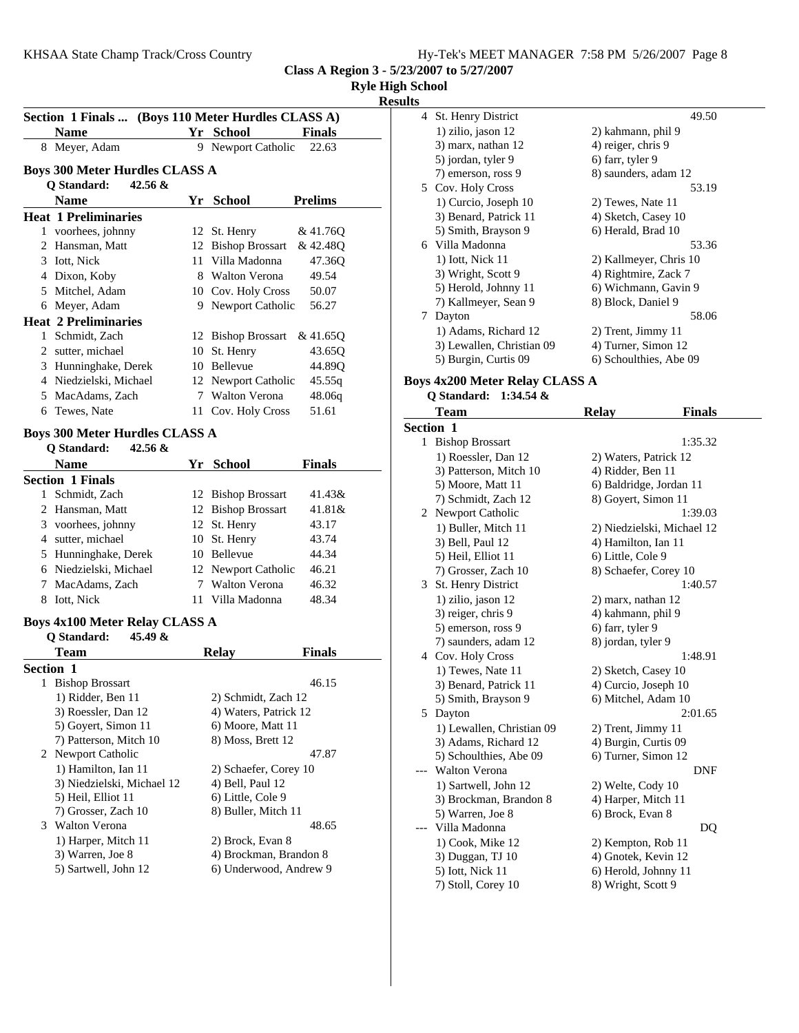| Hy-Tek's MEET MANAGER 7:58 PM 5/26/2007 Page 8 |  |  |
|------------------------------------------------|--|--|
|------------------------------------------------|--|--|

**Class A Region 3 - 5/23/2007 to 5/27/2007**

| <b>Ryle High School</b> |  |
|-------------------------|--|
|-------------------------|--|

**Results**

|                  |                                                    |                                           |                | resuns         |
|------------------|----------------------------------------------------|-------------------------------------------|----------------|----------------|
|                  | Section 1 Finals  (Boys 110 Meter Hurdles CLASS A) |                                           |                | 4              |
|                  | <b>Name</b>                                        | Yr School                                 | <b>Finals</b>  |                |
|                  | 8 Meyer, Adam                                      | 9 Newport Catholic                        | 22.63          |                |
|                  | <b>Boys 300 Meter Hurdles CLASS A</b>              |                                           |                |                |
|                  | Q Standard:<br>$42.56 \&$                          |                                           |                | 5              |
|                  | <b>Name</b>                                        | Yr School                                 | <b>Prelims</b> |                |
|                  | <b>Heat 1 Preliminaries</b>                        |                                           |                |                |
|                  | 1 voorhees, johnny                                 | 12 St. Henry                              | & 41.76Q       |                |
|                  | 2 Hansman, Matt                                    | 12 Bishop Brossart                        | & 42.48Q       | 6              |
|                  | 3 Iott, Nick                                       | 11 Villa Madonna                          | 47.36Q         |                |
|                  | 4 Dixon, Koby                                      | 8 Walton Verona                           | 49.54          |                |
|                  | 5 Mitchel, Adam                                    | 10 Cov. Holy Cross                        | 50.07          |                |
|                  | 6 Meyer, Adam                                      | 9 Newport Catholic                        | 56.27          |                |
|                  | <b>Heat 2 Preliminaries</b>                        |                                           |                | 7              |
|                  | 1 Schmidt, Zach                                    | 12 Bishop Brossart                        | & 41.65Q       |                |
|                  | 2 sutter, michael                                  | 10 St. Henry                              | 43.65Q         |                |
|                  | 3 Hunninghake, Derek                               | 10 Bellevue                               | 44.89Q         |                |
|                  | 4 Niedzielski, Michael                             | 12 Newport Catholic                       | 45.55q         | <b>Boys</b>    |
|                  | 5 MacAdams, Zach                                   | 7 Walton Verona                           | 48.06q         |                |
|                  | 6 Tewes, Nate                                      | 11 Cov. Holy Cross                        | 51.61          |                |
|                  | <b>Boys 300 Meter Hurdles CLASS A</b>              |                                           |                | Secti          |
|                  | Q Standard:<br>42.56 &                             |                                           |                | 1              |
|                  | <b>Name</b>                                        | Yr School                                 | <b>Finals</b>  |                |
|                  | <b>Section 1 Finals</b>                            |                                           |                |                |
|                  | 1 Schmidt, Zach                                    | 12 Bishop Brossart                        | 41.43&         |                |
|                  | 2 Hansman, Matt                                    | 12 Bishop Brossart                        | 41.81&         |                |
|                  | 3 voorhees, johnny                                 | 12 St. Henry                              | 43.17          | $\overline{c}$ |
|                  | 4 sutter, michael                                  | 10 St. Henry                              | 43.74          |                |
|                  | 5 Hunninghake, Derek                               | 10 Bellevue                               | 44.34          |                |
|                  | 6 Niedzielski, Michael                             | 12 Newport Catholic                       | 46.21          |                |
|                  | 7 MacAdams, Zach                                   | 7 Walton Verona                           | 46.32          | 3              |
|                  | 8 Iott, Nick                                       | 11 Villa Madonna                          | 48.34          |                |
|                  |                                                    |                                           |                |                |
|                  | <b>Boys 4x100 Meter Relay CLASS A</b>              |                                           |                |                |
|                  | <b>Q</b> Standard:<br>45.49 $\&$                   |                                           |                |                |
|                  | Team                                               | <b>Relay</b>                              | <b>Finals</b>  | 4              |
| <b>Section 1</b> |                                                    |                                           |                |                |
| 1                | <b>Bishop Brossart</b>                             |                                           | 46.15          |                |
|                  | 1) Ridder, Ben 11                                  | 2) Schmidt, Zach 12                       |                |                |
|                  | 3) Roessler, Dan 12                                | 4) Waters, Patrick 12                     |                | 5              |
|                  | 5) Goyert, Simon 11                                | 6) Moore, Matt 11                         |                |                |
|                  | 7) Patterson, Mitch 10                             | 8) Moss, Brett 12                         |                |                |
|                  | 2 Newport Catholic                                 |                                           | 47.87          |                |
|                  | 1) Hamilton, Ian 11<br>3) Niedzielski, Michael 12  | 2) Schaefer, Corey 10<br>4) Bell, Paul 12 |                |                |
|                  | 5) Heil, Elliot 11                                 | 6) Little, Cole 9                         |                |                |
|                  | 7) Grosser, Zach 10                                | 8) Buller, Mitch 11                       |                |                |
|                  | 3 Walton Verona                                    |                                           | 48.65          |                |
|                  | 1) Harper, Mitch 11                                | 2) Brock, Evan 8                          |                |                |
|                  | 3) Warren, Joe 8                                   | 4) Brockman, Brandon 8                    |                |                |
|                  | 5) Sartwell, John 12                               | 6) Underwood, Andrew 9                    |                |                |
|                  |                                                    |                                           |                |                |
|                  |                                                    |                                           |                |                |
|                  |                                                    |                                           |                |                |
|                  |                                                    |                                           |                |                |
|                  |                                                    |                                           |                |                |
|                  |                                                    |                                           |                |                |
|                  |                                                    |                                           |                |                |
|                  |                                                    |                                           |                |                |

|   | 4 St. Henry District      | 49.50                  |
|---|---------------------------|------------------------|
|   | 1) zilio, jason 12        | 2) kahmann, phil 9     |
|   | 3) marx, nathan 12        | 4) reiger, chris 9     |
|   | 5) jordan, tyler 9        | 6) farr, tyler 9       |
|   | 7) emerson, ross 9        | 8) saunders, adam 12   |
|   | 5 Cov. Holy Cross         | 53.19                  |
|   | 1) Curcio, Joseph 10      | 2) Tewes, Nate 11      |
|   | 3) Benard, Patrick 11     | 4) Sketch, Casey 10    |
|   | 5) Smith, Brayson 9       | 6) Herald, Brad 10     |
|   | 6 Villa Madonna           | 53.36                  |
|   | 1) Iott, Nick 11          | 2) Kallmeyer, Chris 10 |
|   | 3) Wright, Scott 9        | 4) Rightmire, Zack 7   |
|   | 5) Herold, Johnny 11      | 6) Wichmann, Gavin 9   |
|   | 7) Kallmeyer, Sean 9      | 8) Block, Daniel 9     |
| 7 | Dayton                    | 58.06                  |
|   | 1) Adams, Richard 12      | 2) Trent, Jimmy 11     |
|   | 3) Lewallen, Christian 09 | 4) Turner, Simon 12    |
|   | 5) Burgin, Curtis 09      | 6) Schoulthies, Abe 09 |

## **Boys 4x200 Meter Relay CLASS A**

**Q Standard: 1:34.54 &**

|                  | Team                      | <b>Relay</b>               | <b>Finals</b> |
|------------------|---------------------------|----------------------------|---------------|
| <b>Section 1</b> |                           |                            |               |
|                  | 1 Bishop Brossart         |                            | 1:35.32       |
|                  | 1) Roessler, Dan 12       | 2) Waters, Patrick 12      |               |
|                  | 3) Patterson, Mitch 10    | 4) Ridder, Ben 11          |               |
|                  | 5) Moore, Matt 11         | 6) Baldridge, Jordan 11    |               |
|                  | 7) Schmidt, Zach 12       | 8) Goyert, Simon 11        |               |
| 2                | Newport Catholic          |                            | 1:39.03       |
|                  | 1) Buller, Mitch 11       | 2) Niedzielski, Michael 12 |               |
|                  | 3) Bell, Paul 12          | 4) Hamilton, Ian 11        |               |
|                  | 5) Heil, Elliot 11        | 6) Little, Cole 9          |               |
|                  | 7) Grosser, Zach 10       | 8) Schaefer, Corey 10      |               |
| 3                | St. Henry District        |                            | 1:40.57       |
|                  | 1) zilio, jason 12        | 2) marx, nathan 12         |               |
|                  | 3) reiger, chris 9        | 4) kahmann, phil 9         |               |
|                  | 5) emerson, ross 9        | 6) farr, tyler 9           |               |
|                  | 7) saunders, adam 12      | 8) jordan, tyler 9         |               |
|                  | 4 Cov. Holy Cross         |                            | 1:48.91       |
|                  | 1) Tewes, Nate 11         | 2) Sketch, Casey 10        |               |
|                  | 3) Benard, Patrick 11     | 4) Curcio, Joseph 10       |               |
|                  | 5) Smith, Brayson 9       | 6) Mitchel, Adam 10        |               |
| 5                | Dayton                    |                            | 2:01.65       |
|                  | 1) Lewallen, Christian 09 | 2) Trent, Jimmy 11         |               |
|                  | 3) Adams, Richard 12      | 4) Burgin, Curtis 09       |               |
|                  | 5) Schoulthies, Abe 09    | 6) Turner, Simon 12        |               |
|                  | <b>Walton Verona</b>      |                            | <b>DNF</b>    |
|                  | 1) Sartwell, John 12      | 2) Welte, Cody 10          |               |
|                  | 3) Brockman, Brandon 8    | 4) Harper, Mitch 11        |               |
|                  | 5) Warren, Joe 8          | 6) Brock, Evan 8           |               |
|                  | Villa Madonna             |                            | DQ            |
|                  | 1) Cook, Mike 12          | 2) Kempton, Rob 11         |               |
|                  | 3) Duggan, TJ 10          | 4) Gnotek, Kevin 12        |               |
|                  | 5) Iott, Nick 11          | 6) Herold, Johnny 11       |               |
|                  | 7) Stoll, Corey 10        | 8) Wright, Scott 9         |               |